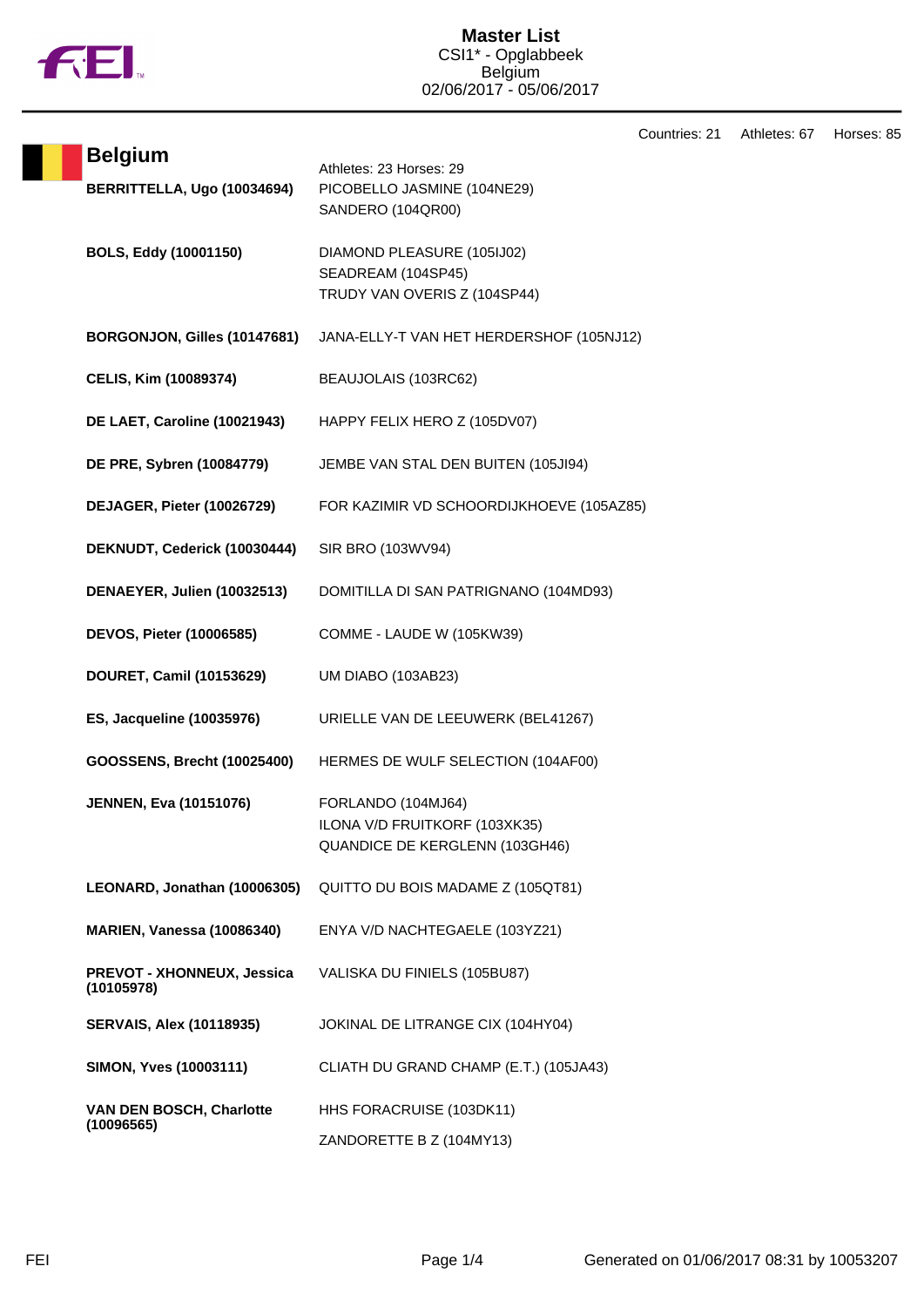

Countries: 21 Athletes: 67 Horses: 85

| <b>Belgium</b><br>BERRITTELLA, Ugo (10034694) | Athletes: 23 Horses: 29<br>PICOBELLO JASMINE (104NE29)<br>SANDERO (104QR00)           |
|-----------------------------------------------|---------------------------------------------------------------------------------------|
| BOLS, Eddy (10001150)                         | DIAMOND PLEASURE (105IJ02)<br>SEADREAM (104SP45)<br>TRUDY VAN OVERIS Z (104SP44)      |
| BORGONJON, Gilles (10147681)                  | JANA-ELLY-T VAN HET HERDERSHOF (105NJ12)                                              |
| CELIS, Kim (10089374)                         | BEAUJOLAIS (103RC62)                                                                  |
| DE LAET, Caroline (10021943)                  | HAPPY FELIX HERO Z (105DV07)                                                          |
| DE PRE, Sybren (10084779)                     | JEMBE VAN STAL DEN BUITEN (105JI94)                                                   |
| DEJAGER, Pieter (10026729)                    | FOR KAZIMIR VD SCHOORDIJKHOEVE (105AZ85)                                              |
| DEKNUDT, Cederick (10030444)                  | SIR BRO (103WV94)                                                                     |
| DENAEYER, Julien (10032513)                   | DOMITILLA DI SAN PATRIGNANO (104MD93)                                                 |
| DEVOS, Pieter (10006585)                      | COMME - LAUDE W (105KW39)                                                             |
| DOURET, Camil (10153629)                      | UM DIABO (103AB23)                                                                    |
| ES, Jacqueline (10035976)                     | URIELLE VAN DE LEEUWERK (BEL41267)                                                    |
| GOOSSENS, Brecht (10025400)                   | HERMES DE WULF SELECTION (104AF00)                                                    |
| <b>JENNEN, Eva (10151076)</b>                 | FORLANDO (104MJ64)<br>ILONA V/D FRUITKORF (103XK35)<br>QUANDICE DE KERGLENN (103GH46) |
| LEONARD, Jonathan (10006305)                  | QUITTO DU BOIS MADAME Z (105QT81)                                                     |
| <b>MARIEN, Vanessa (10086340)</b>             | ENYA V/D NACHTEGAELE (103YZ21)                                                        |
| PREVOT - XHONNEUX, Jessica<br>(10105978)      | VALISKA DU FINIELS (105BU87)                                                          |
| <b>SERVAIS, Alex (10118935)</b>               | JOKINAL DE LITRANGE CIX (104HY04)                                                     |
| <b>SIMON, Yves (10003111)</b>                 | CLIATH DU GRAND CHAMP (E.T.) (105JA43)                                                |
| VAN DEN BOSCH, Charlotte<br>(10096565)        | HHS FORACRUISE (103DK11)                                                              |
|                                               | ZANDORETTE B Z (104MY13)                                                              |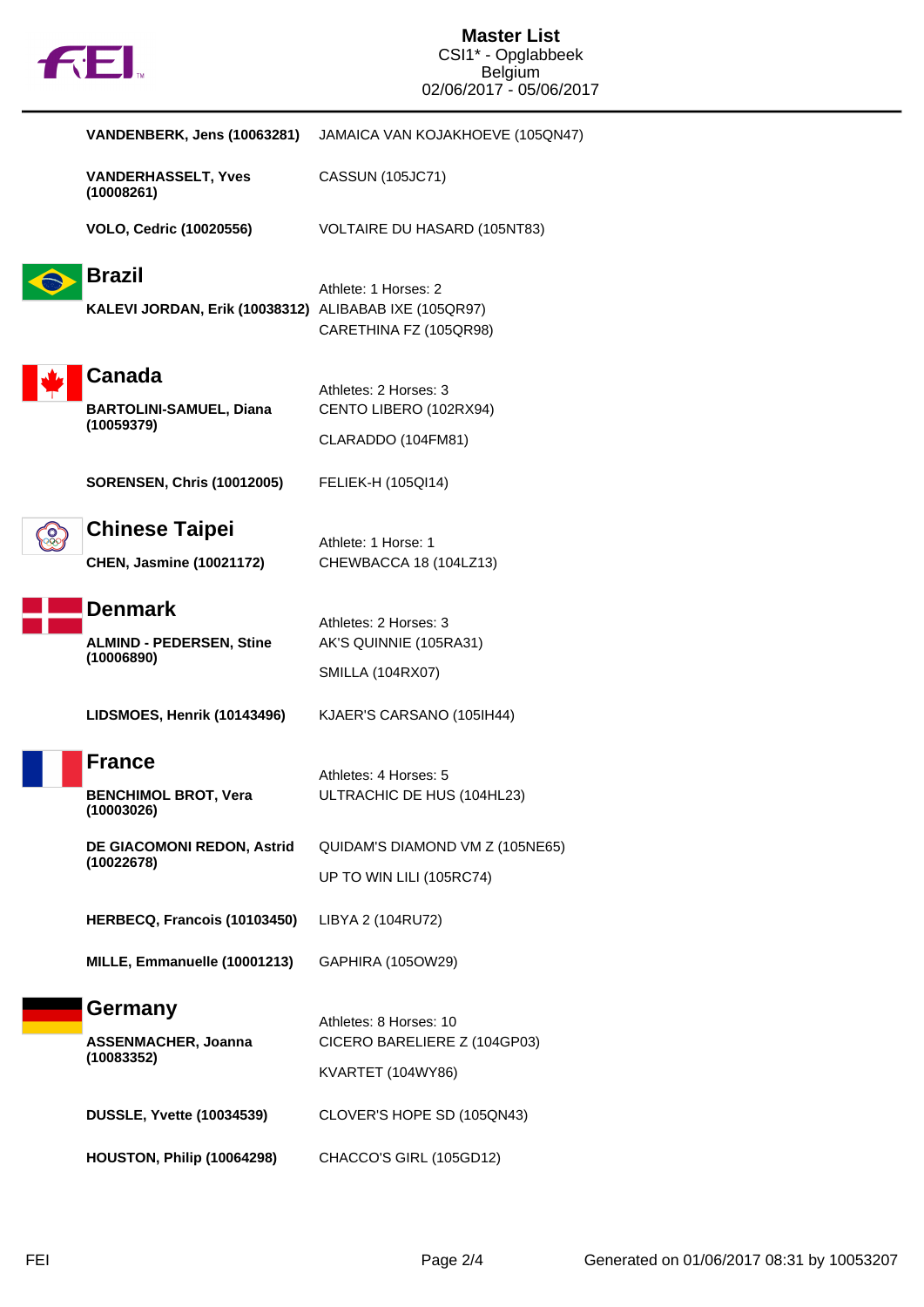| VANDENBERK, Jens (10063281)                                            | JAMAICA VAN KOJAKHOEVE (105QN47)                                            |
|------------------------------------------------------------------------|-----------------------------------------------------------------------------|
| <b>VANDERHASSELT, Yves</b><br>(10008261)                               | CASSUN (105JC71)                                                            |
| <b>VOLO, Cedric (10020556)</b>                                         | VOLTAIRE DU HASARD (105NT83)                                                |
| <b>Brazil</b><br>KALEVI JORDAN, Erik (10038312) ALIBABAB IXE (105QR97) | Athlete: 1 Horses: 2<br>CARETHINA FZ (105QR98)                              |
| Canada<br><b>BARTOLINI-SAMUEL, Diana</b><br>(10059379)                 | Athletes: 2 Horses: 3<br>CENTO LIBERO (102RX94)<br>CLARADDO (104FM81)       |
| <b>SORENSEN, Chris (10012005)</b>                                      | FELIEK-H (105QI14)                                                          |
| <b>Chinese Taipei</b><br><b>CHEN, Jasmine (10021172)</b>               | Athlete: 1 Horse: 1<br>CHEWBACCA 18 (104LZ13)                               |
| <b>Denmark</b><br><b>ALMIND - PEDERSEN, Stine</b><br>(10006890)        | Athletes: 2 Horses: 3<br>AK'S QUINNIE (105RA31)<br><b>SMILLA (104RX07)</b>  |
| LIDSMOES, Henrik (10143496)                                            | KJAER'S CARSANO (105IH44)                                                   |
| <b>France</b><br><b>BENCHIMOL BROT, Vera</b><br>(10003026)             | Athletes: 4 Horses: 5<br>ULTRACHIC DE HUS (104HL23)                         |
| DE GIACOMONI REDON, Astrid<br>(10022678)                               | QUIDAM'S DIAMOND VM Z (105NE65)<br>UP TO WIN LILI (105RC74)                 |
| HERBECQ, Francois (10103450)                                           | LIBYA 2 (104RU72)                                                           |
| MILLE, Emmanuelle (10001213)                                           | GAPHIRA (105OW29)                                                           |
| <b>Germany</b><br><b>ASSENMACHER, Joanna</b><br>(10083352)             | Athletes: 8 Horses: 10<br>CICERO BARELIERE Z (104GP03)<br>KVARTET (104WY86) |
| <b>DUSSLE, Yvette (10034539)</b>                                       | CLOVER'S HOPE SD (105QN43)                                                  |
| HOUSTON, Philip (10064298)                                             | CHACCO'S GIRL (105GD12)                                                     |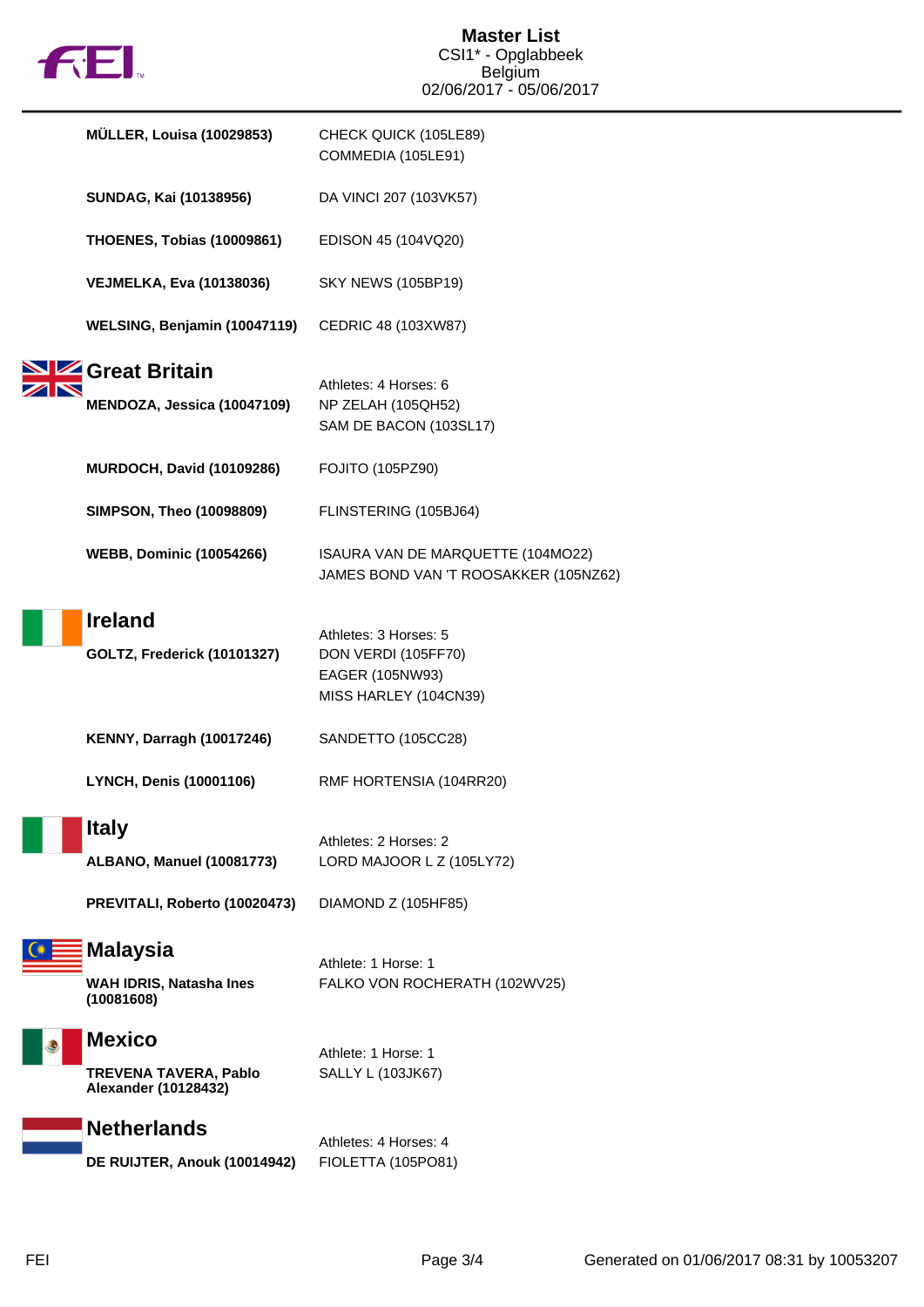| <b>F</b> GEI. |                                                                       | <b>Master List</b><br>CSI1* - Opglabbeek                                                 |  |
|---------------|-----------------------------------------------------------------------|------------------------------------------------------------------------------------------|--|
|               |                                                                       | Belgium<br>02/06/2017 - 05/06/2017                                                       |  |
|               | <b>MÜLLER, Louisa (10029853)</b>                                      | CHECK QUICK (105LE89)<br>COMMEDIA (105LE91)                                              |  |
|               | SUNDAG, Kai (10138956)                                                | DA VINCI 207 (103VK57)                                                                   |  |
|               | <b>THOENES, Tobias (10009861)</b>                                     | EDISON 45 (104VQ20)                                                                      |  |
|               | <b>VEJMELKA, Eva (10138036)</b>                                       | <b>SKY NEWS (105BP19)</b>                                                                |  |
|               | WELSING, Benjamin (10047119)                                          | CEDRIC 48 (103XW87)                                                                      |  |
|               | Great Britain<br>MENDOZA, Jessica (10047109)                          | Athletes: 4 Horses: 6<br>NP ZELAH (105QH52)<br>SAM DE BACON (103SL17)                    |  |
|               | <b>MURDOCH, David (10109286)</b>                                      | <b>FOJITO (105PZ90)</b>                                                                  |  |
|               | <b>SIMPSON, Theo (10098809)</b>                                       | FLINSTERING (105BJ64)                                                                    |  |
|               | <b>WEBB, Dominic (10054266)</b>                                       | ISAURA VAN DE MARQUETTE (104MO22)<br>JAMES BOND VAN 'T ROOSAKKER (105NZ62)               |  |
|               | <b>Ireland</b><br><b>GOLTZ, Frederick (10101327)</b>                  | Athletes: 3 Horses: 5<br>DON VERDI (105FF70)<br>EAGER (105NW93)<br>MISS HARLEY (104CN39) |  |
|               | <b>KENNY, Darragh (10017246)</b>                                      | SANDETTO (105CC28)                                                                       |  |
|               | LYNCH, Denis (10001106)                                               | RMF HORTENSIA (104RR20)                                                                  |  |
|               | <b>Italy</b><br><b>ALBANO, Manuel (10081773)</b>                      | Athletes: 2 Horses: 2<br>LORD MAJOOR L Z (105LY72)                                       |  |
|               | PREVITALI, Roberto (10020473)                                         | DIAMOND Z (105HF85)                                                                      |  |
|               | <b>Malaysia</b><br>WAH IDRIS, Natasha Ines<br>(10081608)              | Athlete: 1 Horse: 1<br>FALKO VON ROCHERATH (102WV25)                                     |  |
| ٤             | <b>Mexico</b><br><b>TREVENA TAVERA, Pablo</b><br>Alexander (10128432) | Athlete: 1 Horse: 1<br>SALLY L (103JK67)                                                 |  |
|               | <b>Netherlands</b><br>DE RUIJTER, Anouk (10014942)                    | Athletes: 4 Horses: 4<br>FIOLETTA (105PO81)                                              |  |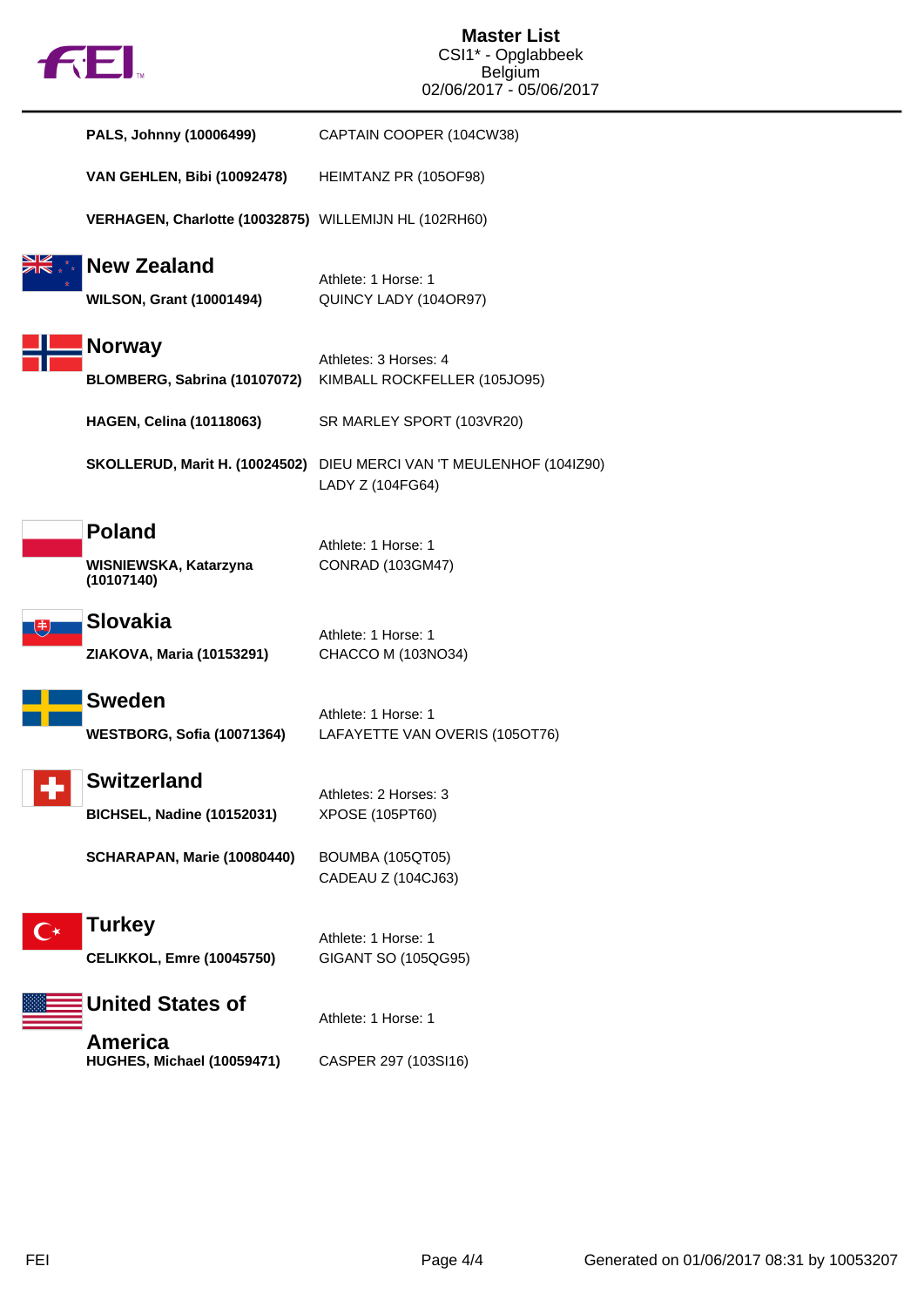

| PALS, Johnny (10006499)                                 | CAPTAIN COOPER (104CW38)                                                                 |
|---------------------------------------------------------|------------------------------------------------------------------------------------------|
| <b>VAN GEHLEN, Bibi (10092478)</b>                      | HEIMTANZ PR (105OF98)                                                                    |
| VERHAGEN, Charlotte (10032875) WILLEMIJN HL (102RH60)   |                                                                                          |
| <b>New Zealand</b><br><b>WILSON, Grant (10001494)</b>   | Athlete: 1 Horse: 1<br>QUINCY LADY (104OR97)                                             |
| <b>Norway</b><br>BLOMBERG, Sabrina (10107072)           | Athletes: 3 Horses: 4<br>KIMBALL ROCKFELLER (105JO95)                                    |
| <b>HAGEN, Celina (10118063)</b>                         | SR MARLEY SPORT (103VR20)                                                                |
|                                                         | SKOLLERUD, Marit H. (10024502) DIEU MERCI VAN 'T MEULENHOF (104IZ90)<br>LADY Z (104FG64) |
| <b>Poland</b><br>WISNIEWSKA, Katarzyna<br>(10107140)    | Athlete: 1 Horse: 1<br><b>CONRAD (103GM47)</b>                                           |
| <b>Slovakia</b><br>ZIAKOVA, Maria (10153291)            | Athlete: 1 Horse: 1<br>CHACCO M (103NO34)                                                |
| <b>Sweden</b><br>WESTBORG, Sofia (10071364)             | Athlete: 1 Horse: 1<br>LAFAYETTE VAN OVERIS (105OT76)                                    |
| <b>Switzerland</b><br><b>BICHSEL, Nadine (10152031)</b> | Athletes: 2 Horses: 3<br>XPOSE (105PT60)                                                 |
| SCHARAPAN, Marie (10080440)                             | <b>BOUMBA (105QT05)</b><br>CADEAU Z (104CJ63)                                            |
| Turkey<br><b>CELIKKOL, Emre (10045750)</b>              | Athlete: 1 Horse: 1<br>GIGANT SO (105QG95)                                               |
| <b>United States of</b>                                 | Athlete: 1 Horse: 1                                                                      |
| <b>America</b><br>HUGHES, Michael (10059471)            | CASPER 297 (103SI16)                                                                     |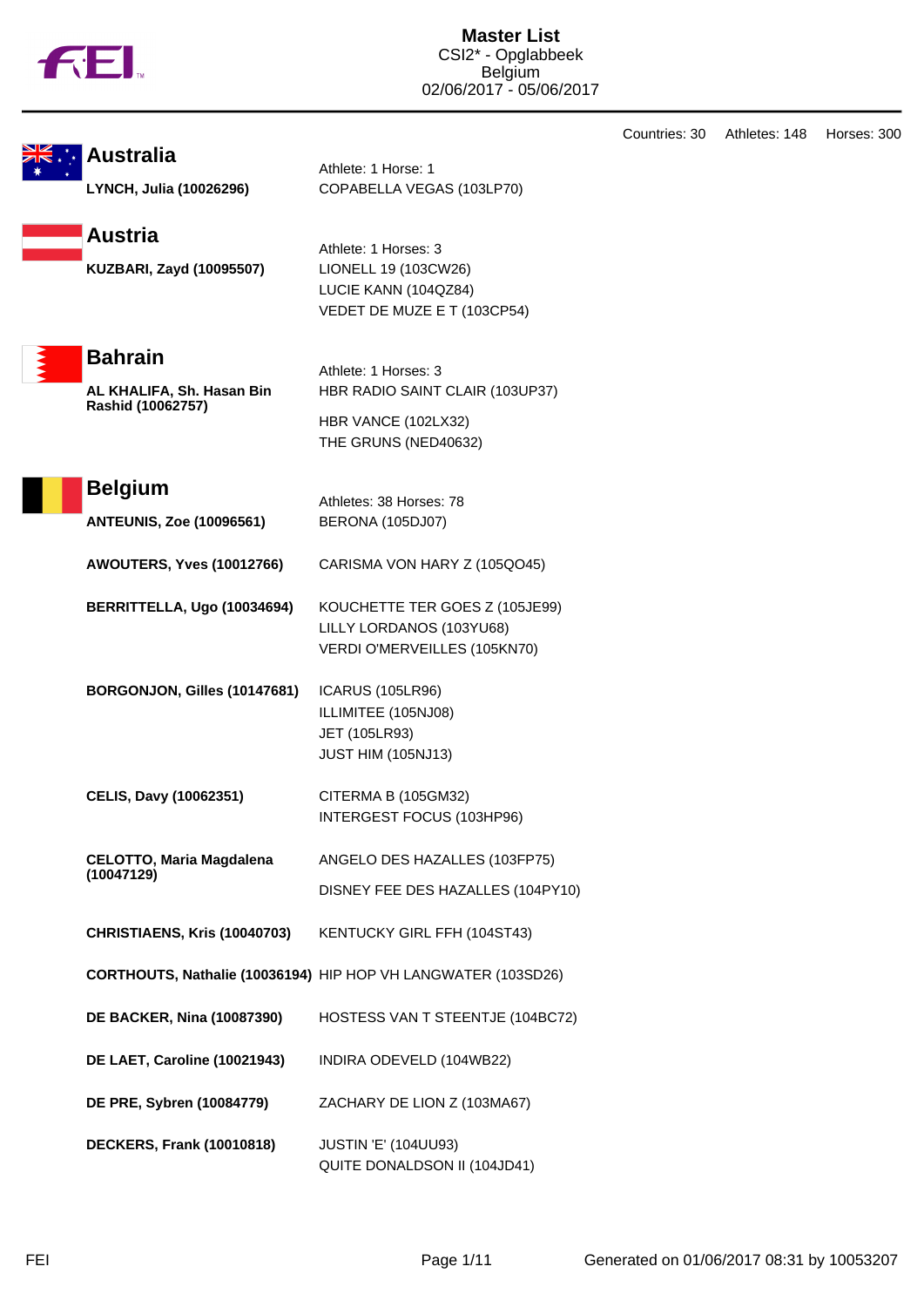

|  | Sik. La Australia |
|--|-------------------|
|  |                   |
|  |                   |

Athlete: 1 Horse: 1 **LYNCH, Julia (10026296)** COPABELLA VEGAS (103LP70)



Athlete: 1 Horses: 3 LUCIE KANN (104QZ84) VEDET DE MUZE E T (103CP54)



**Bahrain**

**AL KHALIFA, Sh. Hasan Bin Rashid (10062757)**

Athlete: 1 Horses: 3 HBR RADIO SAINT CLAIR (103UP37) HBR VANCE (102LX32) THE GRUNS (NED40632)



**ANTEUNIS, Zoe (10096561)** BERONA (105DJ07)

**AWOUTERS, Yves (10012766)** CARISMA VON HARY Z (105QO45)

**BERRITTELLA, Ugo (10034694)** KOUCHETTE TER GOES Z (105JE99) LILLY LORDANOS (103YU68) VERDI O'MERVEILLES (105KN70)

**BORGONJON, Gilles (10147681)** ICARUS (105LR96) ILLIMITEE (105NJ08) JET (105LR93) JUST HIM (105NJ13)

**CELIS, Davy (10062351)** CITERMA B (105GM32) INTERGEST FOCUS (103HP96)

**CELOTTO, Maria Magdalena (10047129)** ANGELO DES HAZALLES (103FP75) DISNEY FEE DES HAZALLES (104PY10)

**CHRISTIAENS, Kris (10040703)** KENTUCKY GIRL FFH (104ST43)

**CORTHOUTS, Nathalie (10036194)** HIP HOP VH LANGWATER (103SD26)

**DE BACKER, Nina (10087390)** HOSTESS VAN T STEENTJE (104BC72)

**DE LAET, Caroline (10021943)** INDIRA ODEVELD (104WB22)

**DE PRE, Sybren (10084779)** ZACHARY DE LION Z (103MA67)

**DECKERS, Frank (10010818)** JUSTIN 'E' (104UU93) QUITE DONALDSON II (104JD41) Countries: 30 Athletes: 148 Horses: 300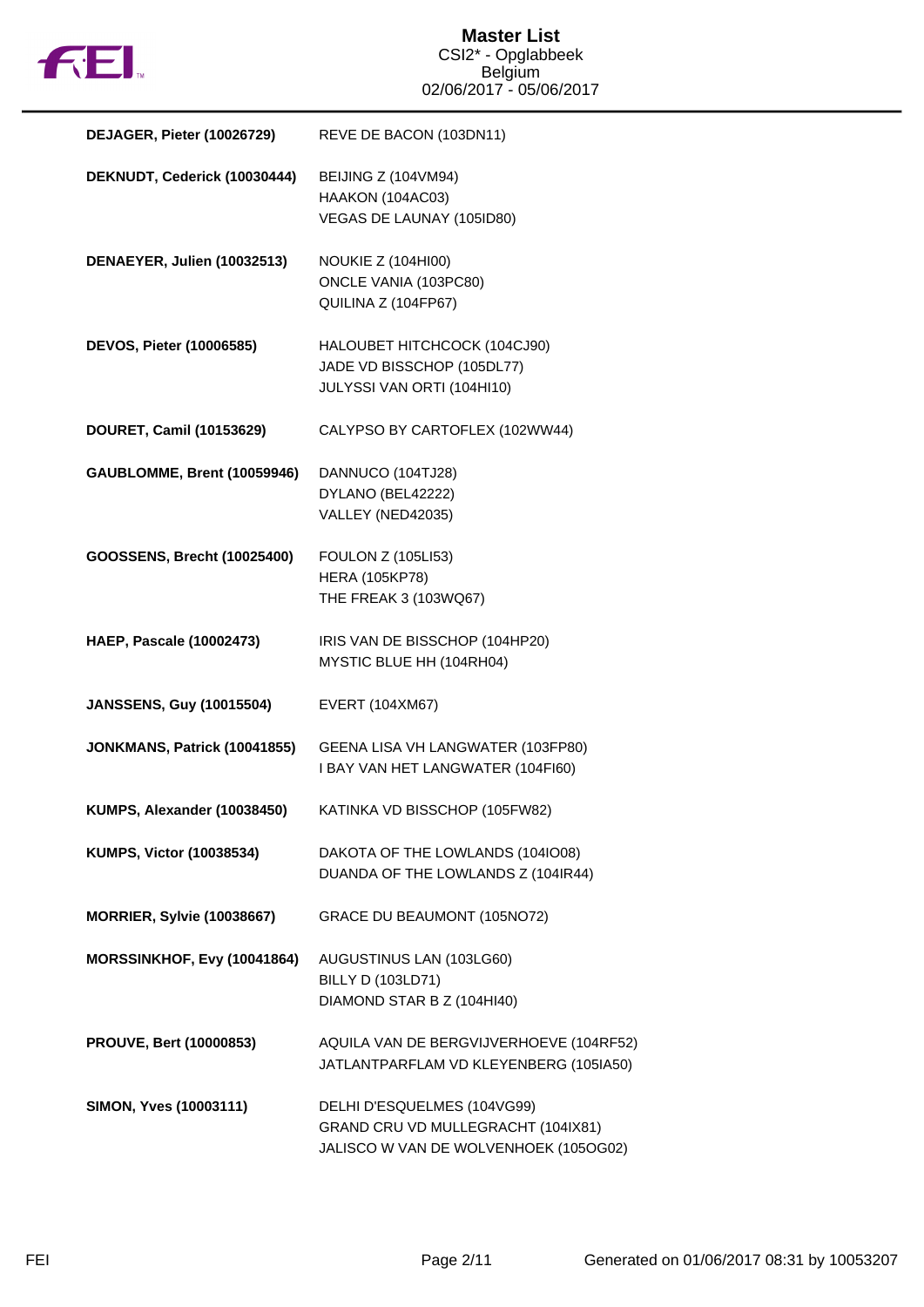

| DEJAGER, Pieter (10026729)         | REVE DE BACON (103DN11)                                                                                    |
|------------------------------------|------------------------------------------------------------------------------------------------------------|
| DEKNUDT, Cederick (10030444)       | BEIJING Z (104VM94)<br>HAAKON (104AC03)<br>VEGAS DE LAUNAY (105ID80)                                       |
| DENAEYER, Julien (10032513)        | <b>NOUKIE Z (104HI00)</b><br>ONCLE VANIA (103PC80)<br>QUILINA Z (104FP67)                                  |
| DEVOS, Pieter (10006585)           | HALOUBET HITCHCOCK (104CJ90)<br>JADE VD BISSCHOP (105DL77)<br>JULYSSI VAN ORTI (104HI10)                   |
| DOURET, Camil (10153629)           | CALYPSO BY CARTOFLEX (102WW44)                                                                             |
| <b>GAUBLOMME, Brent (10059946)</b> | DANNUCO (104TJ28)<br>DYLANO (BEL42222)<br>VALLEY (NED42035)                                                |
| GOOSSENS, Brecht (10025400)        | <b>FOULON Z (105LI53)</b><br><b>HERA (105KP78)</b><br>THE FREAK 3 (103WQ67)                                |
| <b>HAEP, Pascale (10002473)</b>    | IRIS VAN DE BISSCHOP (104HP20)<br>MYSTIC BLUE HH (104RH04)                                                 |
| <b>JANSSENS, Guy (10015504)</b>    | EVERT (104XM67)                                                                                            |
| JONKMANS, Patrick (10041855)       | GEENA LISA VH LANGWATER (103FP80)<br>I BAY VAN HET LANGWATER (104FI60)                                     |
| KUMPS, Alexander (10038450)        | KATINKA VD BISSCHOP (105FW82)                                                                              |
| KUMPS, Victor (10038534)           | DAKOTA OF THE LOWLANDS (1041008)<br>DUANDA OF THE LOWLANDS Z (104IR44)                                     |
| <b>MORRIER, Sylvie (10038667)</b>  | GRACE DU BEAUMONT (105NO72)                                                                                |
| MORSSINKHOF, Evy (10041864)        | AUGUSTINUS LAN (103LG60)<br><b>BILLY D (103LD71)</b><br>DIAMOND STAR B Z (104HI40)                         |
| PROUVE, Bert (10000853)            | AQUILA VAN DE BERGVIJVERHOEVE (104RF52)<br>JATLANTPARFLAM VD KLEYENBERG (105IA50)                          |
| SIMON, Yves (10003111)             | DELHI D'ESQUELMES (104VG99)<br>GRAND CRU VD MULLEGRACHT (104IX81)<br>JALISCO W VAN DE WOLVENHOEK (105OG02) |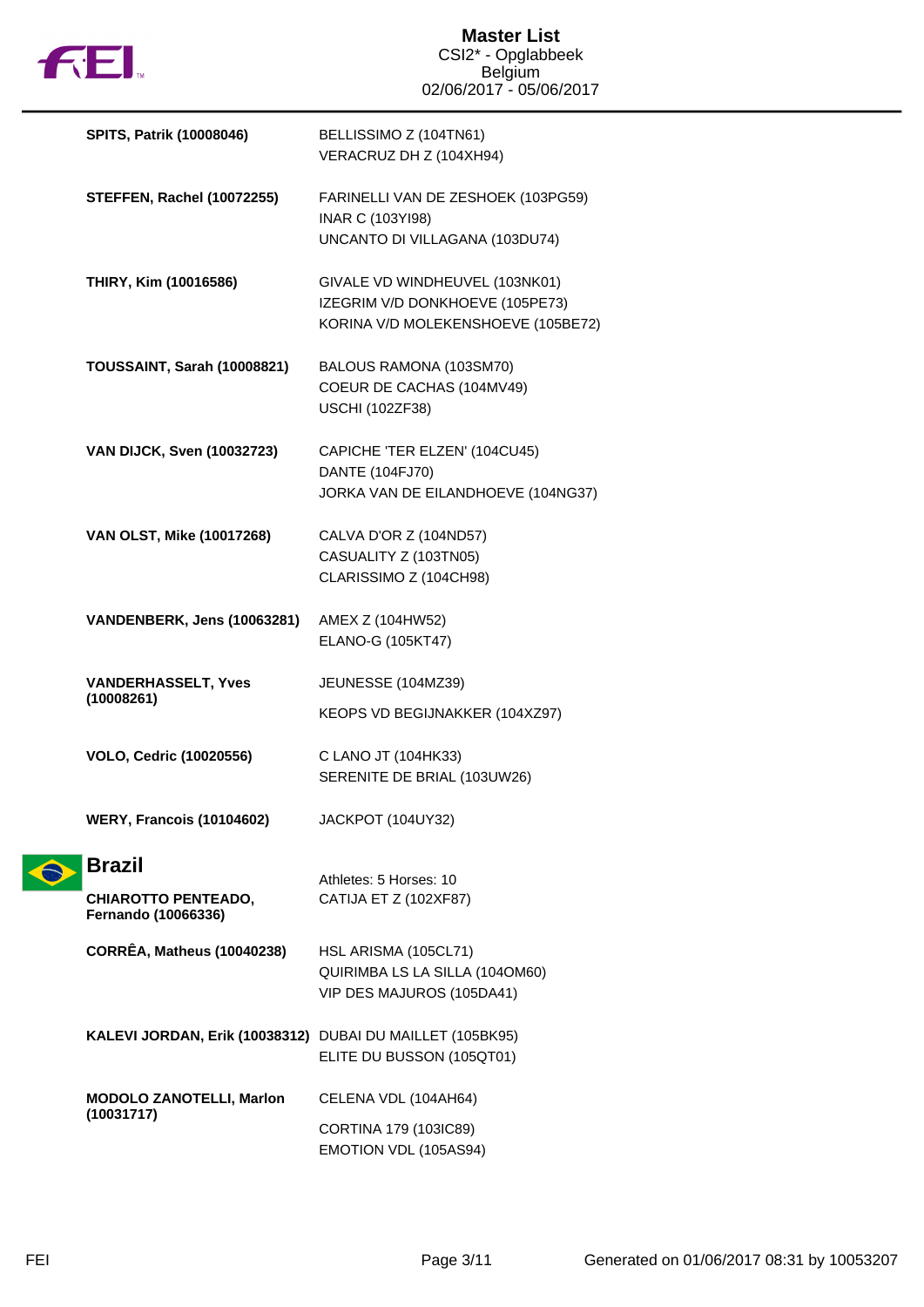

| <b>SPITS, Patrik (10008046)</b>                           | BELLISSIMO Z (104TN61)<br>VERACRUZ DH Z (104XH94)                                                       |
|-----------------------------------------------------------|---------------------------------------------------------------------------------------------------------|
| <b>STEFFEN, Rachel (10072255)</b>                         | FARINELLI VAN DE ZESHOEK (103PG59)<br>INAR C (103YI98)<br>UNCANTO DI VILLAGANA (103DU74)                |
| THIRY, Kim (10016586)                                     | GIVALE VD WINDHEUVEL (103NK01)<br>IZEGRIM V/D DONKHOEVE (105PE73)<br>KORINA V/D MOLEKENSHOEVE (105BE72) |
| <b>TOUSSAINT, Sarah (10008821)</b>                        | BALOUS RAMONA (103SM70)<br>COEUR DE CACHAS (104MV49)<br><b>USCHI (102ZF38)</b>                          |
| <b>VAN DIJCK, Sven (10032723)</b>                         | CAPICHE 'TER ELZEN' (104CU45)<br>DANTE (104FJ70)<br>JORKA VAN DE EILANDHOEVE (104NG37)                  |
| VAN OLST, Mike (10017268)                                 | CALVA D'OR Z (104ND57)<br>CASUALITY Z (103TN05)<br>CLARISSIMO Z (104CH98)                               |
| VANDENBERK, Jens (10063281)                               | AMEX Z (104HW52)<br>ELANO-G (105KT47)                                                                   |
| <b>VANDERHASSELT, Yves</b><br>(10008261)                  | JEUNESSE (104MZ39)<br>KEOPS VD BEGIJNAKKER (104XZ97)                                                    |
| <b>VOLO, Cedric (10020556)</b>                            | C LANO JT (104HK33)<br>SERENITE DE BRIAL (103UW26)                                                      |
| <b>WERY, Francois (10104602)</b>                          | JACKPOT (104UY32)                                                                                       |
| <b>Brazil</b>                                             | Athletes: 5 Horses: 10                                                                                  |
| <b>CHIAROTTO PENTEADO,</b><br>Fernando (10066336)         | CATIJA ET Z (102XF87)                                                                                   |
| <b>CORRÊA, Matheus (10040238)</b>                         | HSL ARISMA (105CL71)<br>QUIRIMBA LS LA SILLA (1040M60)<br>VIP DES MAJUROS (105DA41)                     |
| KALEVI JORDAN, Erik (10038312) DUBAI DU MAILLET (105BK95) | ELITE DU BUSSON (105QT01)                                                                               |
| <b>MODOLO ZANOTELLI, Marlon</b><br>(10031717)             | CELENA VDL (104AH64)                                                                                    |
|                                                           | CORTINA 179 (103IC89)<br>EMOTION VDL (105AS94)                                                          |

 $\hat{\bullet}$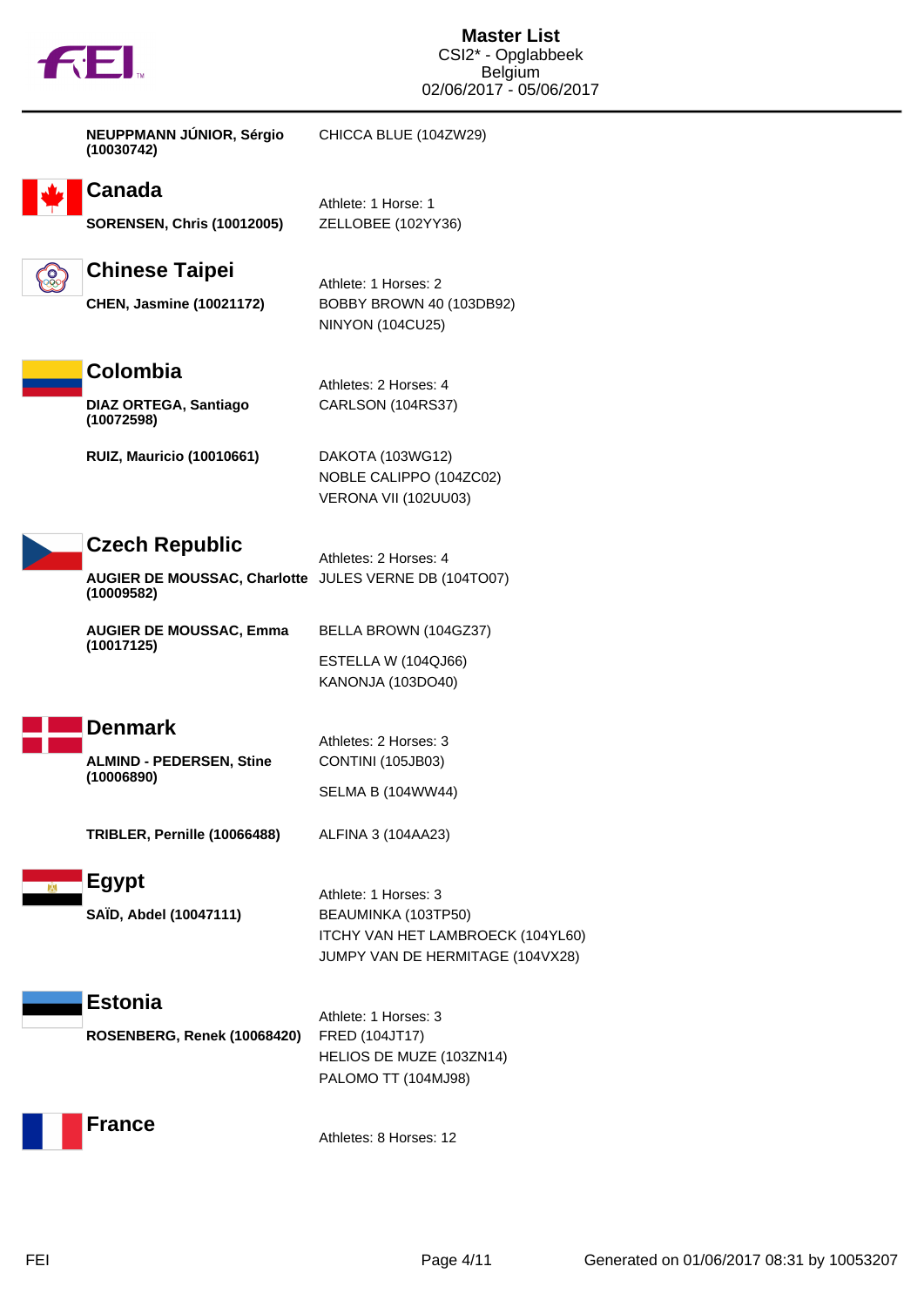

|            | NEUPPMANN JÚNIOR, Sérgio<br>(10030742)                                                       | CHICCA BLUE (104ZW29)                                                                                                |
|------------|----------------------------------------------------------------------------------------------|----------------------------------------------------------------------------------------------------------------------|
|            | Canada<br><b>SORENSEN, Chris (10012005)</b>                                                  | Athlete: 1 Horse: 1<br>ZELLOBEE (102YY36)                                                                            |
| ි <b>ි</b> | <b>Chinese Taipei</b><br><b>CHEN, Jasmine (10021172)</b>                                     | Athlete: 1 Horses: 2<br>BOBBY BROWN 40 (103DB92)<br><b>NINYON (104CU25)</b>                                          |
|            | Colombia<br><b>DIAZ ORTEGA, Santiago</b><br>(10072598)                                       | Athletes: 2 Horses: 4<br>CARLSON (104RS37)                                                                           |
|            | <b>RUIZ, Mauricio (10010661)</b>                                                             | DAKOTA (103WG12)<br>NOBLE CALIPPO (104ZC02)<br>VERONA VII (102UU03)                                                  |
|            | <b>Czech Republic</b><br>AUGIER DE MOUSSAC, Charlotte JULES VERNE DB (104TO07)<br>(10009582) | Athletes: 2 Horses: 4                                                                                                |
|            | <b>AUGIER DE MOUSSAC, Emma</b><br>(10017125)                                                 | BELLA BROWN (104GZ37)<br>ESTELLA W (104QJ66)<br>KANONJA (103DO40)                                                    |
|            | <b>Denmark</b><br><b>ALMIND - PEDERSEN, Stine</b><br>(10006890)                              | Athletes: 2 Horses: 3<br>CONTINI (105JB03)<br><b>SELMA B (104WW44)</b>                                               |
|            | TRIBLER, Pernille (10066488)                                                                 | ALFINA 3 (104AA23)                                                                                                   |
|            | <b>Egypt</b><br>SAÏD, Abdel (10047111)                                                       | Athlete: 1 Horses: 3<br>BEAUMINKA (103TP50)<br>ITCHY VAN HET LAMBROECK (104YL60)<br>JUMPY VAN DE HERMITAGE (104VX28) |
|            | <b>Estonia</b><br>ROSENBERG, Renek (10068420)                                                | Athlete: 1 Horses: 3<br>FRED (104JT17)<br>HELIOS DE MUZE (103ZN14)<br>PALOMO TT (104MJ98)                            |
|            | <b>France</b>                                                                                | Athletes: 8 Horses: 12                                                                                               |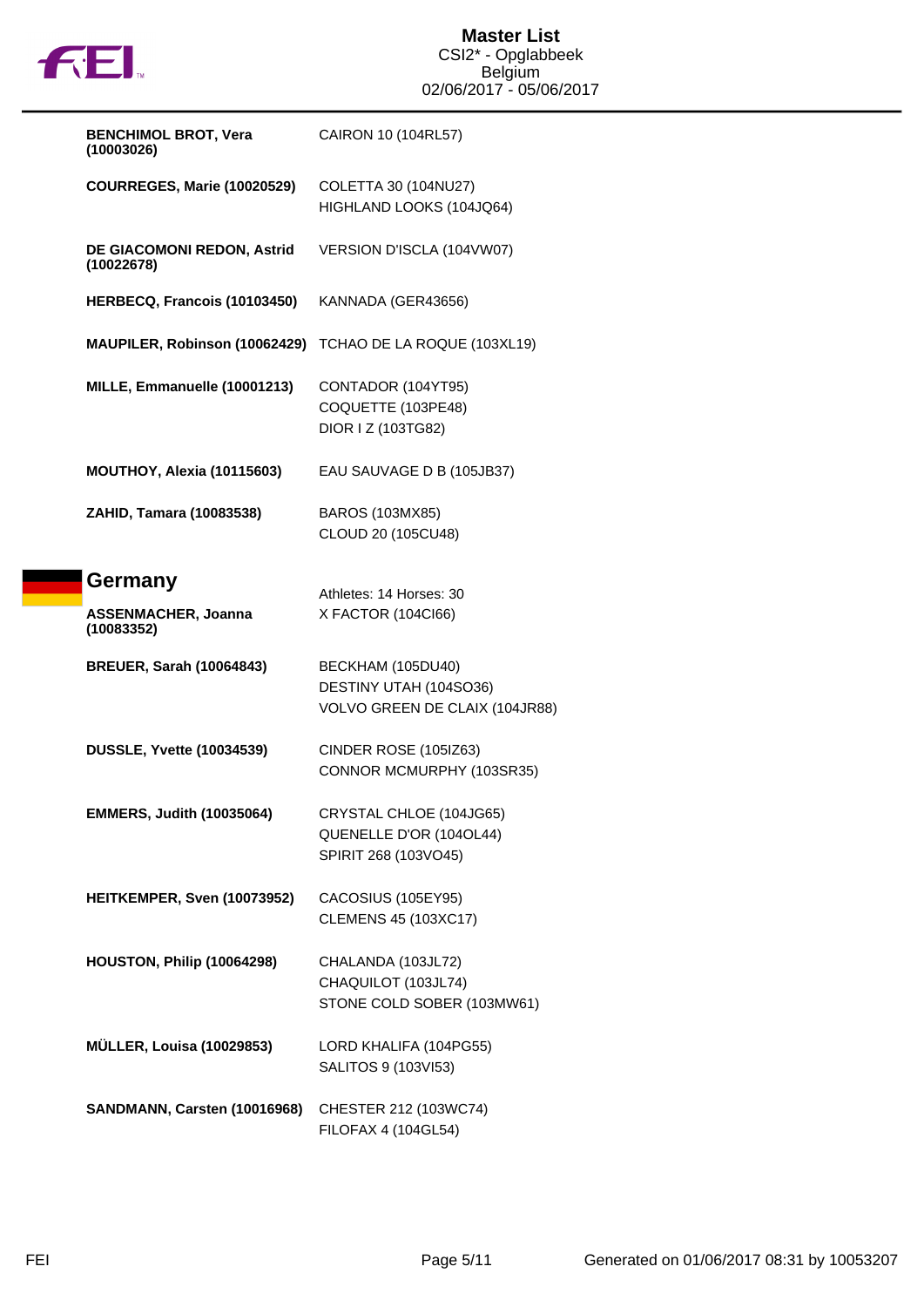

| <b>BENCHIMOL BROT, Vera</b><br>(10003026)           | CAIRON 10 (104RL57)                                                           |
|-----------------------------------------------------|-------------------------------------------------------------------------------|
| <b>COURREGES, Marie (10020529)</b>                  | COLETTA 30 (104NU27)<br>HIGHLAND LOOKS (104JQ64)                              |
| DE GIACOMONI REDON, Astrid<br>(10022678)            | VERSION D'ISCLA (104VW07)                                                     |
| HERBECQ, Francois (10103450)                        | KANNADA (GER43656)                                                            |
| MAUPILER, Robinson (10062429)                       | TCHAO DE LA ROQUE (103XL19)                                                   |
| MILLE, Emmanuelle (10001213)                        | CONTADOR (104YT95)<br>COQUETTE (103PE48)<br>DIOR I Z (103TG82)                |
| MOUTHOY, Alexia (10115603)                          | EAU SAUVAGE D B (105JB37)                                                     |
| ZAHID, Tamara (10083538)                            | <b>BAROS (103MX85)</b><br>CLOUD 20 (105CU48)                                  |
| Germany<br><b>ASSENMACHER, Joanna</b><br>(10083352) | Athletes: 14 Horses: 30<br>X FACTOR (104Cl66)                                 |
| <b>BREUER, Sarah (10064843)</b>                     | BECKHAM (105DU40)<br>DESTINY UTAH (104SO36)<br>VOLVO GREEN DE CLAIX (104JR88) |
| <b>DUSSLE, Yvette (10034539)</b>                    | CINDER ROSE (105IZ63)<br>CONNOR MCMURPHY (103SR35)                            |
| <b>EMMERS, Judith (10035064)</b>                    | CRYSTAL CHLOE (104JG65)<br>QUENELLE D'OR (104OL44)<br>SPIRIT 268 (103VO45)    |
| HEITKEMPER, Sven (10073952)                         | CACOSIUS (105EY95)<br><b>CLEMENS 45 (103XC17)</b>                             |
| HOUSTON, Philip (10064298)                          | CHALANDA (103JL72)<br>CHAQUILOT (103JL74)<br>STONE COLD SOBER (103MW61)       |
| <b>MÜLLER, Louisa (10029853)</b>                    | LORD KHALIFA (104PG55)<br>SALITOS 9 (103VI53)                                 |
| SANDMANN, Carsten (10016968)                        | CHESTER 212 (103WC74)<br>FILOFAX 4 (104GL54)                                  |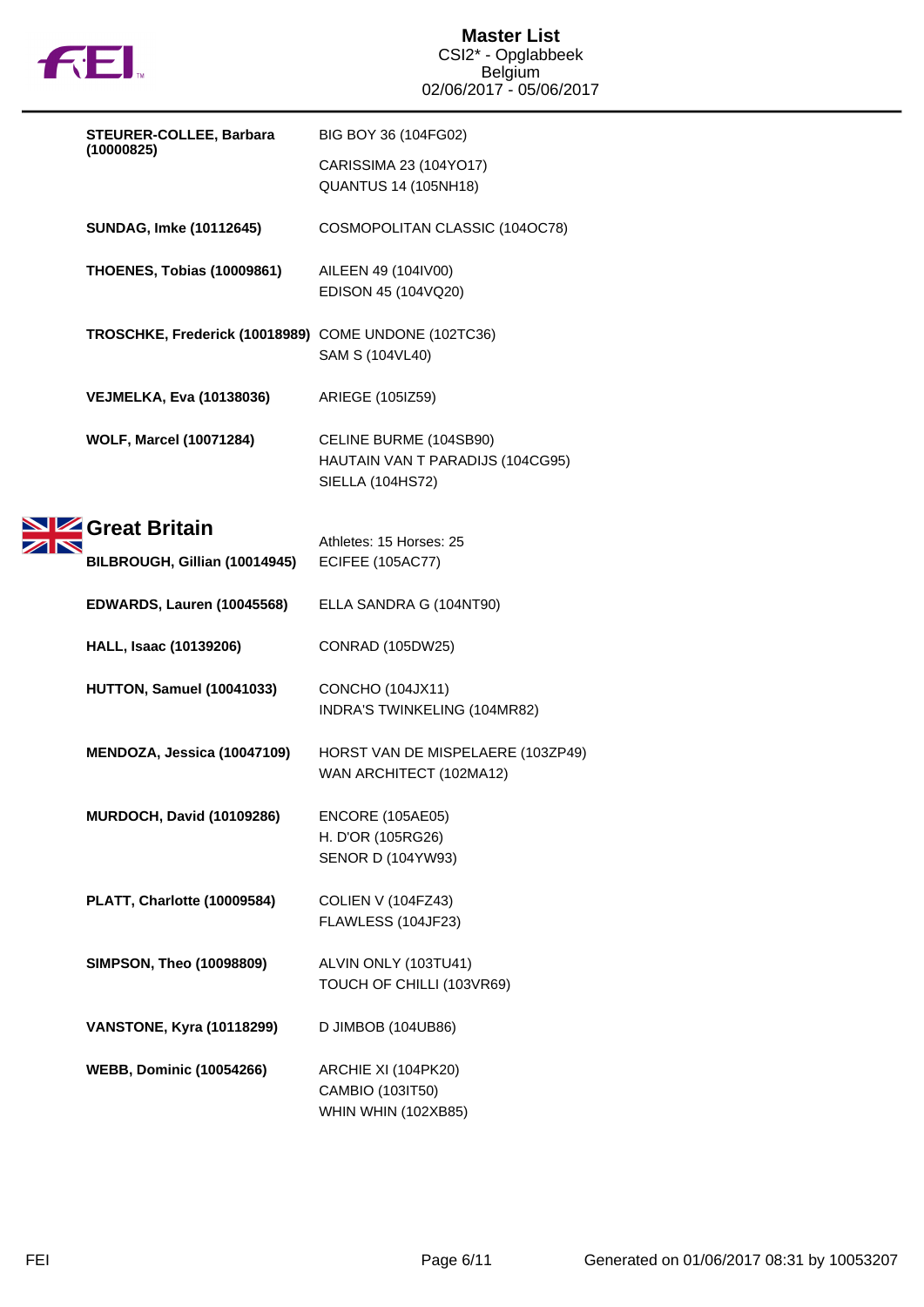

| STEURER-COLLEE, Barbara | BIG BOY 36 (104FG02)                                 |                                                                                |
|-------------------------|------------------------------------------------------|--------------------------------------------------------------------------------|
|                         | (10000825)                                           | CARISSIMA 23 (104YO17)<br><b>QUANTUS 14 (105NH18)</b>                          |
|                         | <b>SUNDAG, Imke (10112645)</b>                       | COSMOPOLITAN CLASSIC (104OC78)                                                 |
|                         | <b>THOENES, Tobias (10009861)</b>                    | AILEEN 49 (104IV00)<br>EDISON 45 (104VQ20)                                     |
|                         | TROSCHKE, Frederick (10018989) COME UNDONE (102TC36) | SAM S (104VL40)                                                                |
|                         | <b>VEJMELKA, Eva (10138036)</b>                      | ARIEGE (105IZ59)                                                               |
|                         | <b>WOLF, Marcel (10071284)</b>                       | CELINE BURME (104SB90)<br>HAUTAIN VAN T PARADIJS (104CG95)<br>SIELLA (104HS72) |
|                         | Great Britain                                        | Athletes: 15 Horses: 25                                                        |
|                         | BILBROUGH, Gillian (10014945)                        | <b>ECIFEE (105AC77)</b>                                                        |
|                         | EDWARDS, Lauren (10045568)                           | ELLA SANDRA G (104NT90)                                                        |
|                         | HALL, Isaac (10139206)                               | CONRAD (105DW25)                                                               |
|                         | HUTTON, Samuel (10041033)                            | <b>CONCHO (104JX11)</b><br>INDRA'S TWINKELING (104MR82)                        |
|                         | MENDOZA, Jessica (10047109)                          | HORST VAN DE MISPELAERE (103ZP49)<br>WAN ARCHITECT (102MA12)                   |
|                         | <b>MURDOCH, David (10109286)</b>                     | ENCORE (105AE05)                                                               |
|                         |                                                      | H. D'OR (105RG26)<br><b>SENOR D (104YW93)</b>                                  |
|                         | PLATT, Charlotte (10009584)                          | COLIEN V (104FZ43)<br>FLAWLESS (104JF23)                                       |
|                         | <b>SIMPSON, Theo (10098809)</b>                      | ALVIN ONLY (103TU41)<br>TOUCH OF CHILLI (103VR69)                              |
|                         | <b>VANSTONE, Kyra (10118299)</b>                     | D JIMBOB (104UB86)                                                             |
|                         | <b>WEBB, Dominic (10054266)</b>                      | ARCHIE XI (104PK20)<br>CAMBIO (103IT50)<br>WHIN WHIN (102XB85)                 |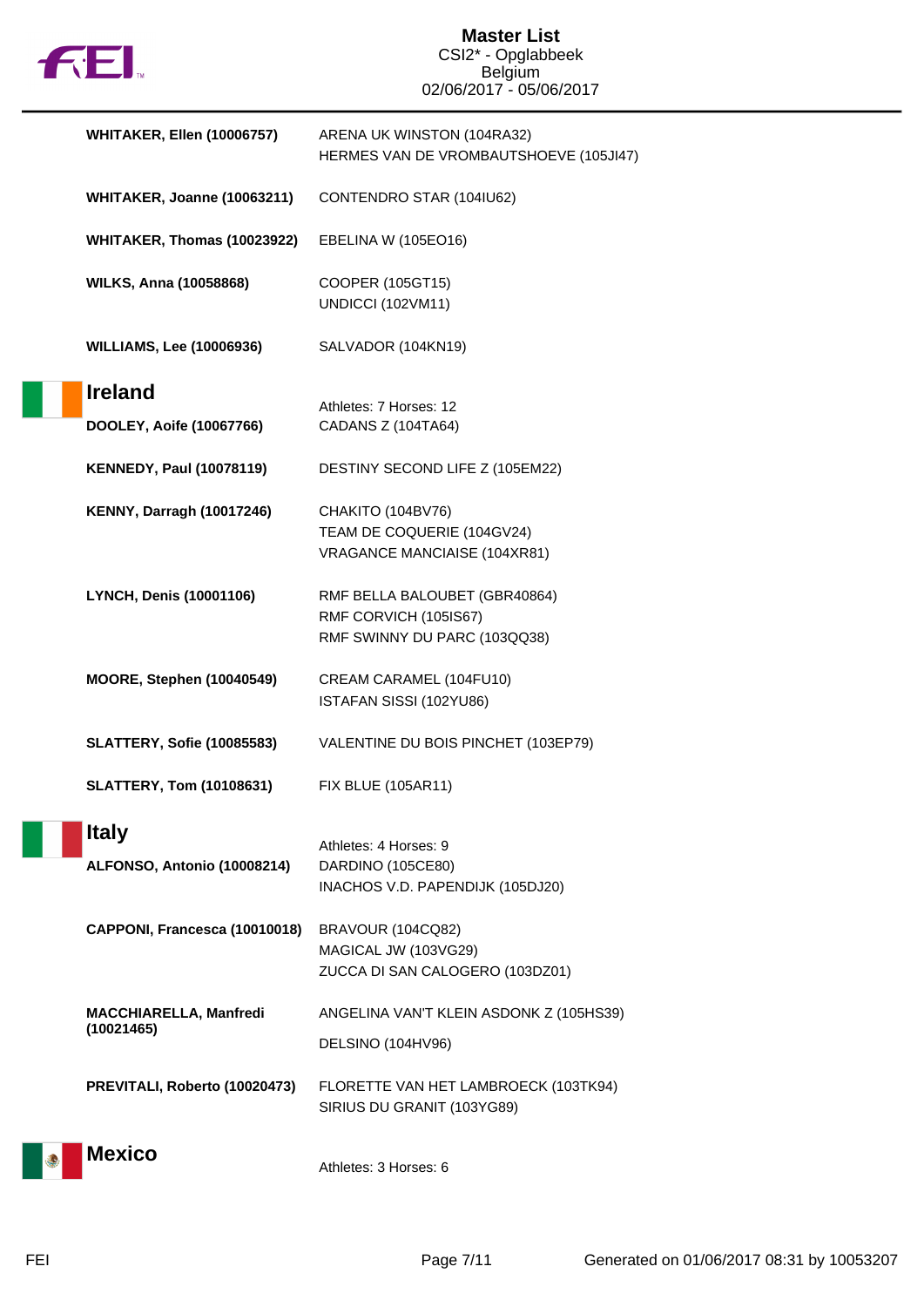

## **Master List** CSI2\* - Opglabbeek Belgium 02/06/2017 - 05/06/2017

| <b>WHITAKER, Ellen (10006757)</b>           | ARENA UK WINSTON (104RA32)<br>HERMES VAN DE VROMBAUTSHOEVE (105JI47)                   |
|---------------------------------------------|----------------------------------------------------------------------------------------|
| WHITAKER, Joanne (10063211)                 | CONTENDRO STAR (104IU62)                                                               |
| WHITAKER, Thomas (10023922)                 | EBELINA W (105EO16)                                                                    |
| <b>WILKS, Anna (10058868)</b>               | COOPER (105GT15)<br><b>UNDICCI (102VM11)</b>                                           |
| <b>WILLIAMS, Lee (10006936)</b>             | SALVADOR (104KN19)                                                                     |
| <b>Ireland</b><br>DOOLEY, Aoife (10067766)  | Athletes: 7 Horses: 12<br>CADANS Z (104TA64)                                           |
| <b>KENNEDY, Paul (10078119)</b>             | DESTINY SECOND LIFE Z (105EM22)                                                        |
| <b>KENNY, Darragh (10017246)</b>            | CHAKITO (104BV76)<br>TEAM DE COQUERIE (104GV24)<br>VRAGANCE MANCIAISE (104XR81)        |
| <b>LYNCH, Denis (10001106)</b>              | RMF BELLA BALOUBET (GBR40864)<br>RMF CORVICH (105IS67)<br>RMF SWINNY DU PARC (103QQ38) |
| <b>MOORE, Stephen (10040549)</b>            | CREAM CARAMEL (104FU10)<br>ISTAFAN SISSI (102YU86)                                     |
| <b>SLATTERY, Sofie (10085583)</b>           | VALENTINE DU BOIS PINCHET (103EP79)                                                    |
| <b>SLATTERY, Tom (10108631)</b>             | <b>FIX BLUE (105AR11)</b>                                                              |
| <b>Italy</b><br>ALFONSO, Antonio (10008214) | Athletes: 4 Horses: 9<br>DARDINO (105CE80)<br>INACHOS V.D. PAPENDIJK (105DJ20)         |
| CAPPONI, Francesca (10010018)               | <b>BRAVOUR (104CQ82)</b><br>MAGICAL JW (103VG29)<br>ZUCCA DI SAN CALOGERO (103DZ01)    |
| MACCHIARELLA, Manfredi<br>(10021465)        | ANGELINA VAN'T KLEIN ASDONK Z (105HS39)                                                |
|                                             | DELSINO (104HV96)                                                                      |
| PREVITALI, Roberto (10020473)               | FLORETTE VAN HET LAMBROECK (103TK94)<br>SIRIUS DU GRANIT (103YG89)                     |
| <b>Mexico</b>                               | Athletes: 3 Horses: 6                                                                  |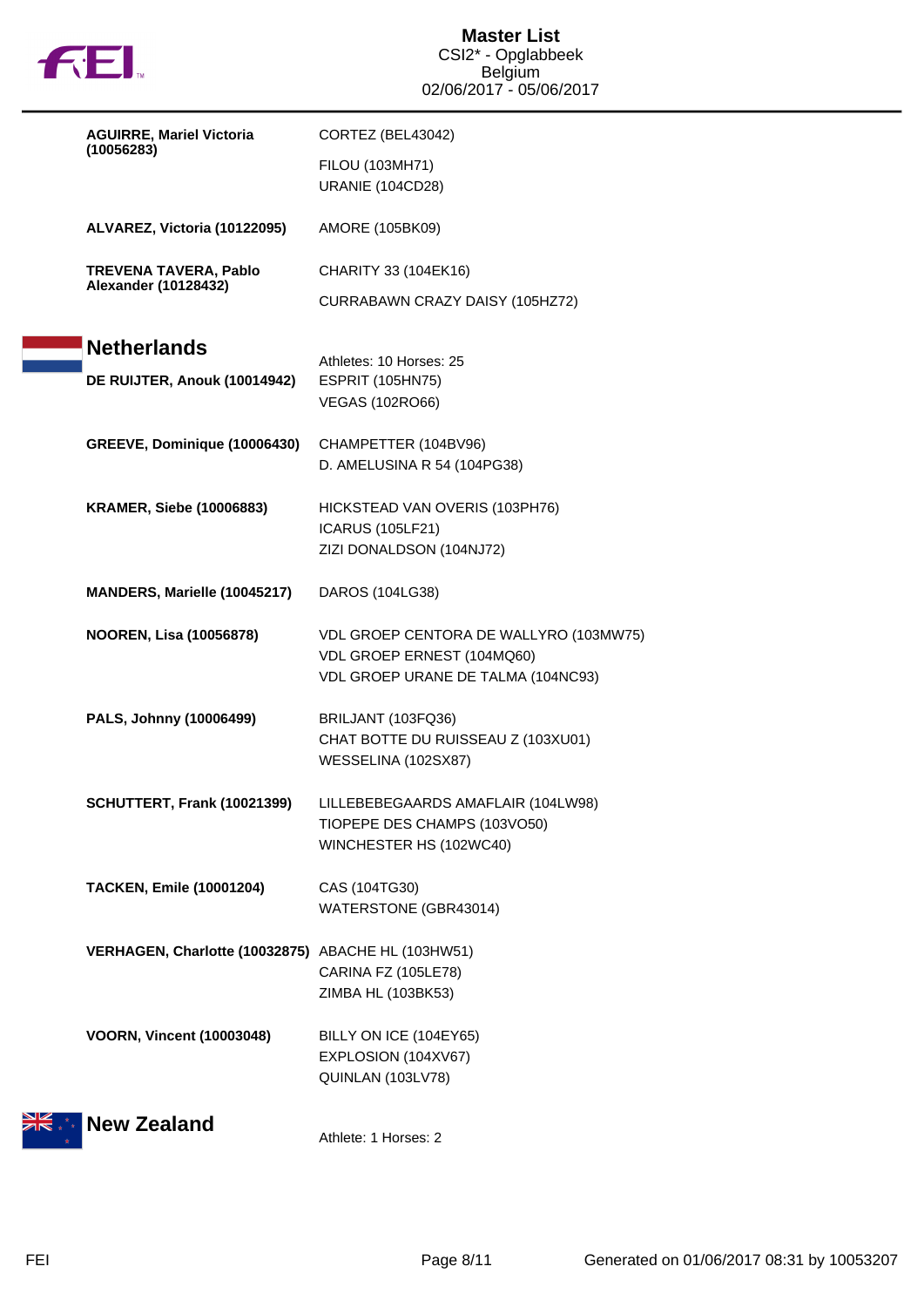

| <b>AGUIRRE, Mariel Victoria</b><br>(10056283)               | CORTEZ (BEL43042)                                                                                          |
|-------------------------------------------------------------|------------------------------------------------------------------------------------------------------------|
|                                                             | FILOU (103MH71)<br><b>URANIE (104CD28)</b>                                                                 |
| ALVAREZ, Victoria (10122095)                                | AMORE (105BK09)                                                                                            |
| <b>TREVENA TAVERA, Pablo</b><br><b>Alexander (10128432)</b> | CHARITY 33 (104EK16)                                                                                       |
|                                                             | CURRABAWN CRAZY DAISY (105HZ72)                                                                            |
| <b>Netherlands</b><br>DE RUIJTER, Anouk (10014942)          | Athletes: 10 Horses: 25<br><b>ESPRIT (105HN75)</b>                                                         |
|                                                             | <b>VEGAS (102RO66)</b>                                                                                     |
| GREEVE, Dominique (10006430)                                | CHAMPETTER (104BV96)<br>D. AMELUSINA R 54 (104PG38)                                                        |
|                                                             |                                                                                                            |
| <b>KRAMER, Siebe (10006883)</b>                             | HICKSTEAD VAN OVERIS (103PH76)<br><b>ICARUS (105LF21)</b>                                                  |
|                                                             | ZIZI DONALDSON (104NJ72)                                                                                   |
| MANDERS, Marielle (10045217)                                | DAROS (104LG38)                                                                                            |
| <b>NOOREN, Lisa (10056878)</b>                              | VDL GROEP CENTORA DE WALLYRO (103MW75)<br>VDL GROEP ERNEST (104MQ60)<br>VDL GROEP URANE DE TALMA (104NC93) |
| PALS, Johnny (10006499)                                     | BRILJANT (103FQ36)<br>CHAT BOTTE DU RUISSEAU Z (103XU01)<br>WESSELINA (102SX87)                            |
| SCHUTTERT, Frank (10021399)                                 | LILLEBEBEGAARDS AMAFLAIR (104LW98)<br>TIOPEPE DES CHAMPS (103VO50)<br>WINCHESTER HS (102WC40)              |
| <b>TACKEN, Emile (10001204)</b>                             | CAS (104TG30)<br>WATERSTONE (GBR43014)                                                                     |
| VERHAGEN, Charlotte (10032875) ABACHE HL (103HW51)          | CARINA FZ (105LE78)                                                                                        |
|                                                             | ZIMBA HL (103BK53)                                                                                         |
| <b>VOORN, Vincent (10003048)</b>                            | BILLY ON ICE (104EY65)                                                                                     |
|                                                             | EXPLOSION (104XV67)<br>QUINLAN (103LV78)                                                                   |
| <b>New Zealand</b>                                          |                                                                                                            |
|                                                             | Athlete: 1 Horses: 2                                                                                       |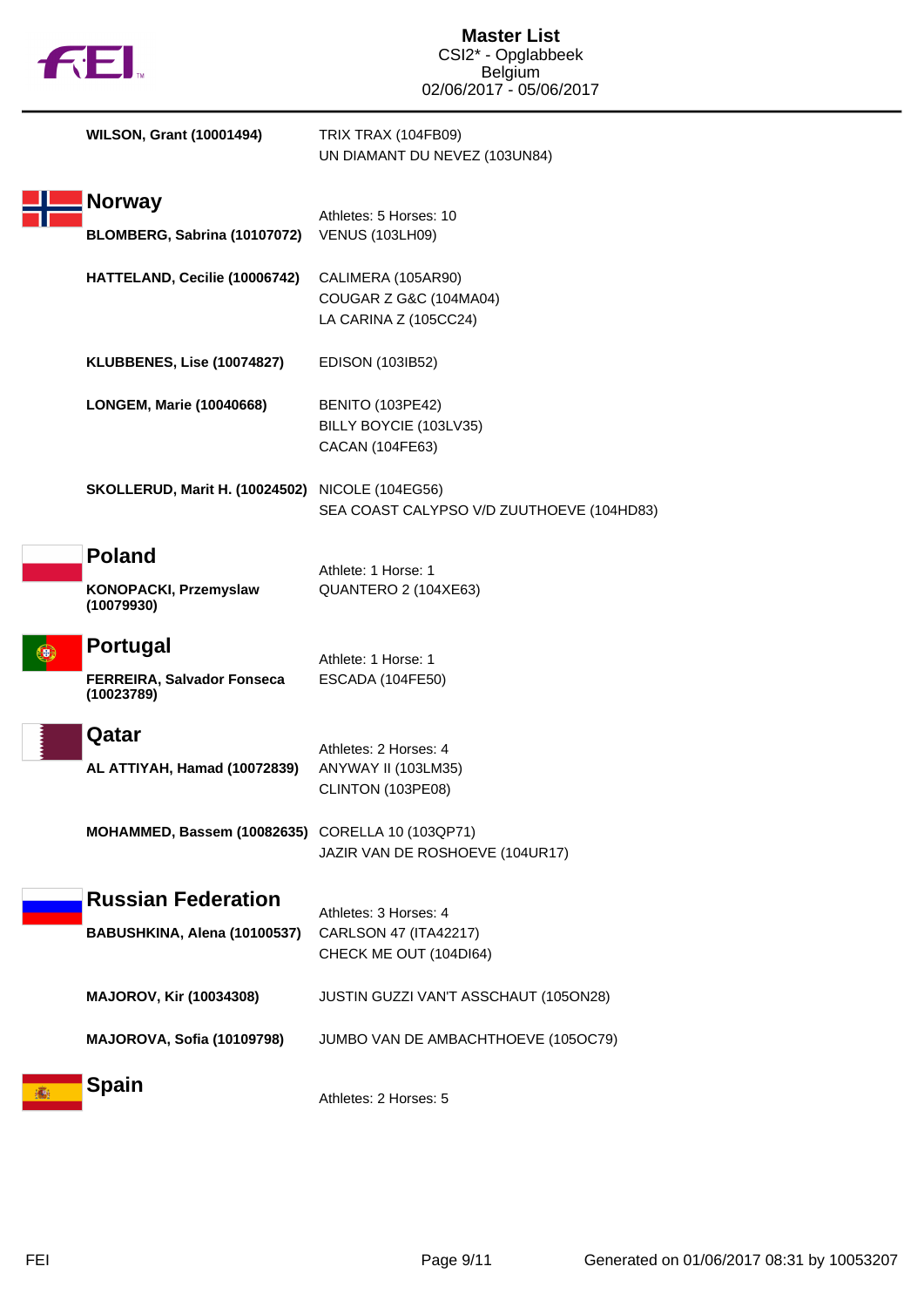| <b>FEI.</b>                                                 | <b>Master List</b><br>CSI2* - Opglabbeek<br><b>Belgium</b><br>02/06/2017 - 05/06/2017 |
|-------------------------------------------------------------|---------------------------------------------------------------------------------------|
| <b>WILSON, Grant (10001494)</b>                             | <b>TRIX TRAX (104FB09)</b><br>UN DIAMANT DU NEVEZ (103UN84)                           |
| Norway<br>BLOMBERG, Sabrina (10107072)                      | Athletes: 5 Horses: 10<br><b>VENUS (103LH09)</b>                                      |
| HATTELAND, Cecilie (10006742)                               | CALIMERA (105AR90)<br>COUGAR Z G&C (104MA04)<br>LA CARINA Z (105CC24)                 |
| KLUBBENES, Lise (10074827)                                  | EDISON (103IB52)                                                                      |
| LONGEM, Marie (10040668)                                    | <b>BENITO (103PE42)</b><br>BILLY BOYCIE (103LV35)<br>CACAN (104FE63)                  |
| <b>SKOLLERUD, Marit H. (10024502)</b> NICOLE (104EG56)      | SEA COAST CALYPSO V/D ZUUTHOEVE (104HD83)                                             |
| <b>Poland</b><br>KONOPACKI, Przemyslaw<br>(10079930)        | Athlete: 1 Horse: 1<br>QUANTERO 2 (104XE63)                                           |
| Portugal<br><b>FERREIRA, Salvador Fonseca</b><br>(10023789) | Athlete: 1 Horse: 1<br>ESCADA (104FE50)                                               |
| Qatar<br>AL ATTIYAH, Hamad (10072839)                       | Athletes: 2 Horses: 4<br>ANYWAY II (103LM35)<br>CLINTON (103PE08)                     |
| MOHAMMED, Bassem (10082635) CORELLA 10 (103QP71)            | JAZIR VAN DE ROSHOEVE (104UR17)                                                       |
| <b>Russian Federation</b><br>BABUSHKINA, Alena (10100537)   | Athletes: 3 Horses: 4<br>CARLSON 47 (ITA42217)<br>CHECK ME OUT (104DI64)              |
| <b>MAJOROV, Kir (10034308)</b>                              | JUSTIN GUZZI VAN'T ASSCHAUT (105ON28)                                                 |
| MAJOROVA, Sofia (10109798)                                  | JUMBO VAN DE AMBACHTHOEVE (105OC79)                                                   |
| <b>Spain</b>                                                | Athletes: 2 Horses: 5                                                                 |

I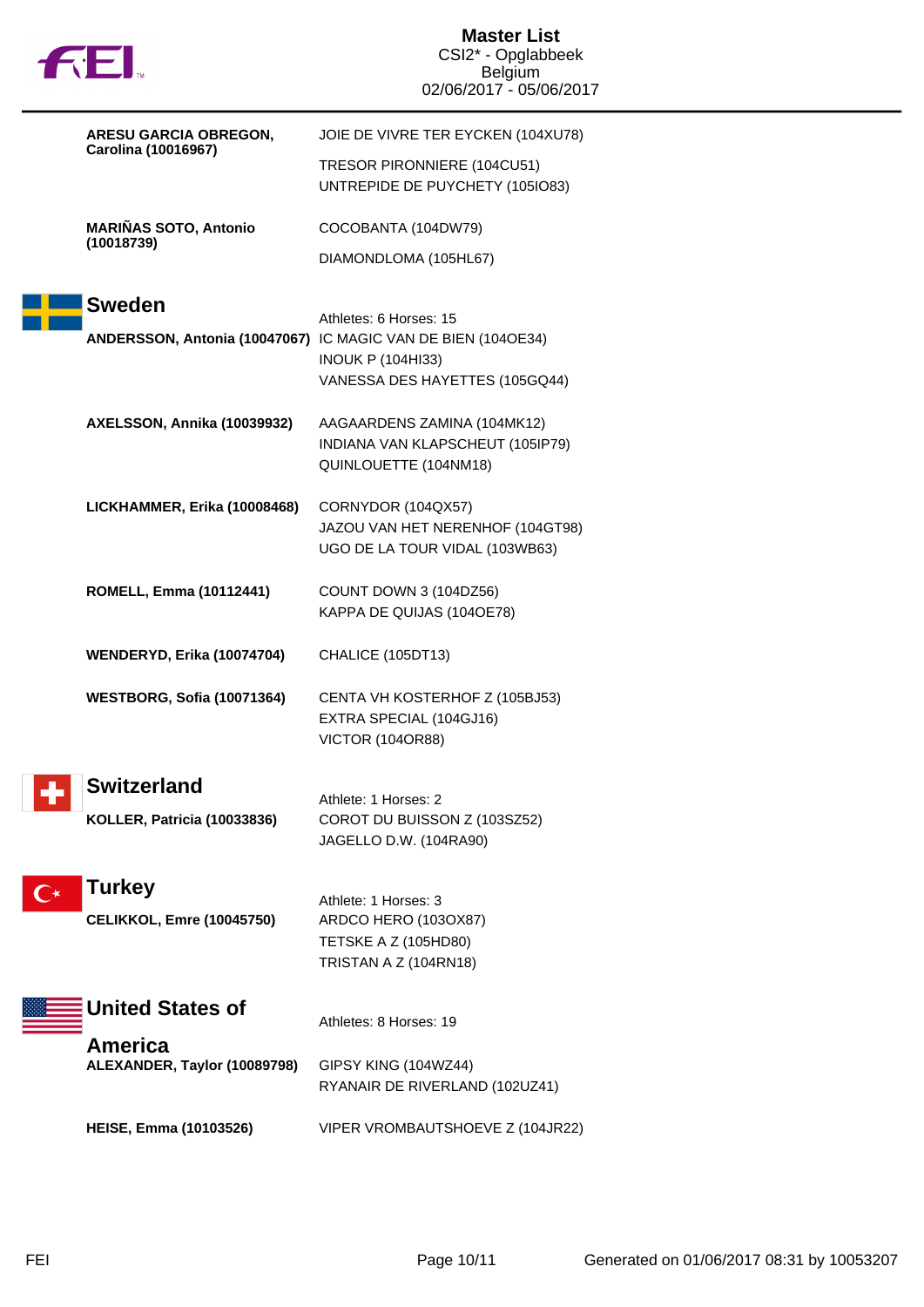| <b>FEL</b>                                   | <b>Master List</b><br>CSI2* - Opglabbeek<br><b>Belgium</b><br>02/06/2017 - 05/06/2017 |
|----------------------------------------------|---------------------------------------------------------------------------------------|
| ARESU GARCIA OBREGON,<br>Carolina (10016967) | JOIE DE VIVRE TER EYCKEN (104XU78)                                                    |
|                                              | TRESOR PIRONNIERE (104CU51)<br>UNTREPIDE DE PUYCHETY (105IO83)                        |
| <b>MARIÑAS SOTO, Antonio</b><br>(10018739)   | COCOBANTA (104DW79)                                                                   |
|                                              | DIAMONDLOMA (105HL67)                                                                 |
| <b>Sweden</b>                                | Athletes: 6 Horses: 15                                                                |
|                                              | ANDERSSON, Antonia (10047067) IC MAGIC VAN DE BIEN (104OE34)                          |
|                                              | <b>INOUK P (104HI33)</b><br>VANESSA DES HAYETTES (105GQ44)                            |
| AXELSSON, Annika (10039932)                  | AAGAARDENS ZAMINA (104MK12)                                                           |
|                                              | INDIANA VAN KLAPSCHEUT (105IP79)<br>QUINLOUETTE (104NM18)                             |
|                                              |                                                                                       |
| LICKHAMMER, Erika (10008468)                 | CORNYDOR (104QX57)<br>JAZOU VAN HET NERENHOF (104GT98)                                |
|                                              | UGO DE LA TOUR VIDAL (103WB63)                                                        |
| <b>ROMELL, Emma (10112441)</b>               | COUNT DOWN 3 (104DZ56)<br>KAPPA DE QUIJAS (104OE78)                                   |
| <b>WENDERYD, Erika (10074704)</b>            | CHALICE (105DT13)                                                                     |
| WESTBORG, Sofia (10071364)                   | CENTA VH KOSTERHOF Z (105BJ53)                                                        |
|                                              | EXTRA SPECIAL (104GJ16)<br><b>VICTOR (104OR88)</b>                                    |
|                                              |                                                                                       |
| <b>Switzerland</b>                           | Athlete: 1 Horses: 2                                                                  |
| <b>KOLLER, Patricia (10033836)</b>           | COROT DU BUISSON Z (103SZ52)<br>JAGELLO D.W. (104RA90)                                |
| <b>Turkey</b>                                |                                                                                       |
| <b>CELIKKOL, Emre (10045750)</b>             | Athlete: 1 Horses: 3<br>ARDCO HERO (1030X87)                                          |
|                                              | TETSKE A Z (105HD80)                                                                  |
|                                              | TRISTAN A Z (104RN18)                                                                 |
| <b>United States of</b><br><b>America</b>    | Athletes: 8 Horses: 19                                                                |
| ALEXANDER, Taylor (10089798)                 | GIPSY KING (104WZ44)<br>RYANAIR DE RIVERLAND (102UZ41)                                |
| <b>HEISE, Emma (10103526)</b>                | VIPER VROMBAUTSHOEVE Z (104JR22)                                                      |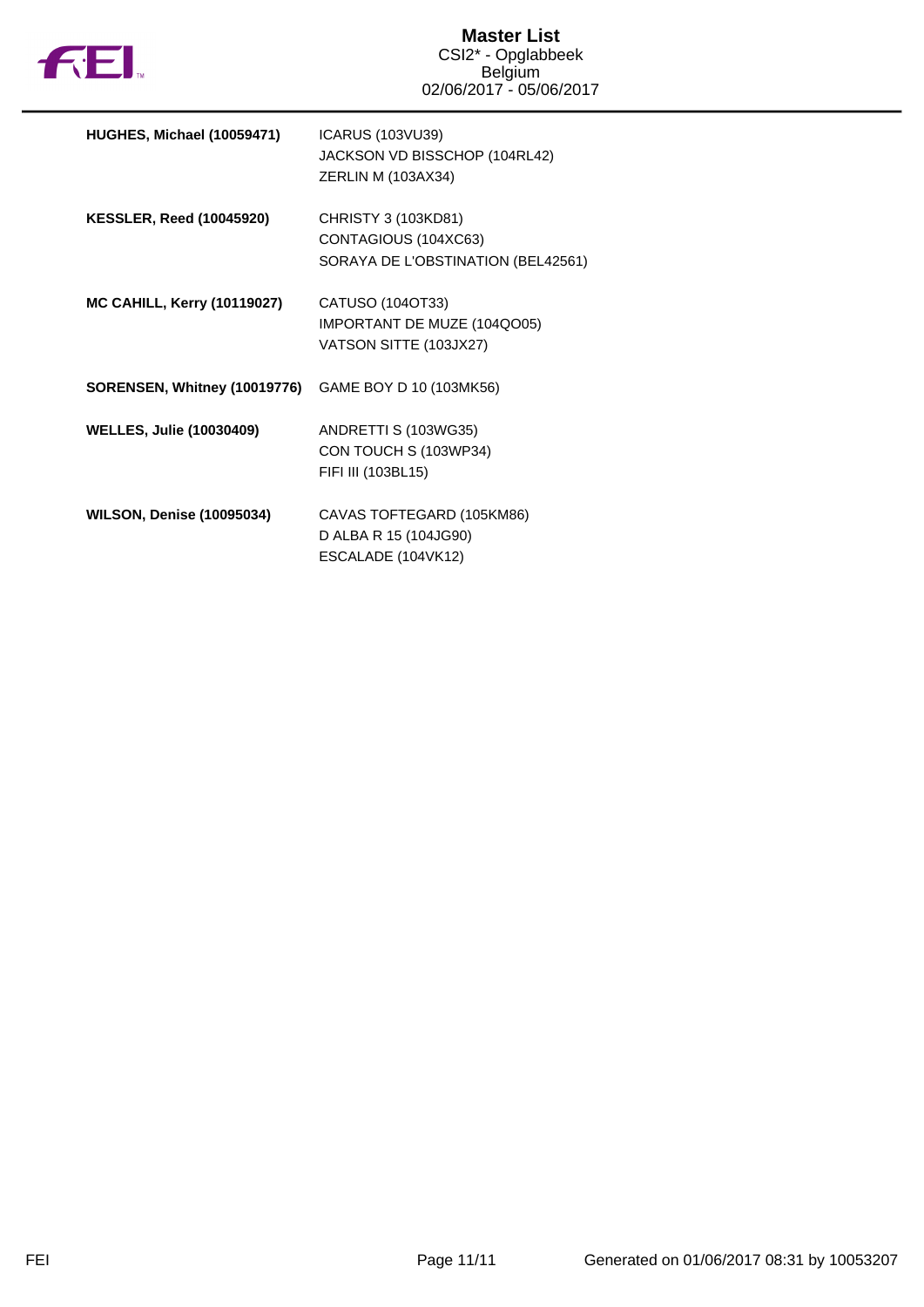

| HUGHES, Michael (10059471)         | ICARUS (103VU39)<br>JACKSON VD BISSCHOP (104RL42)<br>ZERLIN M (103AX34)           |
|------------------------------------|-----------------------------------------------------------------------------------|
| <b>KESSLER, Reed (10045920)</b>    | CHRISTY 3 (103KD81)<br>CONTAGIOUS (104XC63)<br>SORAYA DE L'OBSTINATION (BEL42561) |
| <b>MC CAHILL, Kerry (10119027)</b> | CATUSO (104OT33)<br>IMPORTANT DE MUZE (104QO05)<br>VATSON SITTE (103JX27)         |
| SORENSEN, Whitney (10019776)       | GAME BOY D 10 (103MK56)                                                           |
| <b>WELLES, Julie (10030409)</b>    | ANDRETTI S (103WG35)<br>CON TOUCH S (103WP34)<br>FIFI III (103BL15)               |
| <b>WILSON, Denise (10095034)</b>   | CAVAS TOFTEGARD (105KM86)<br>D ALBA R 15 (104JG90)<br>ESCALADE (104VK12)          |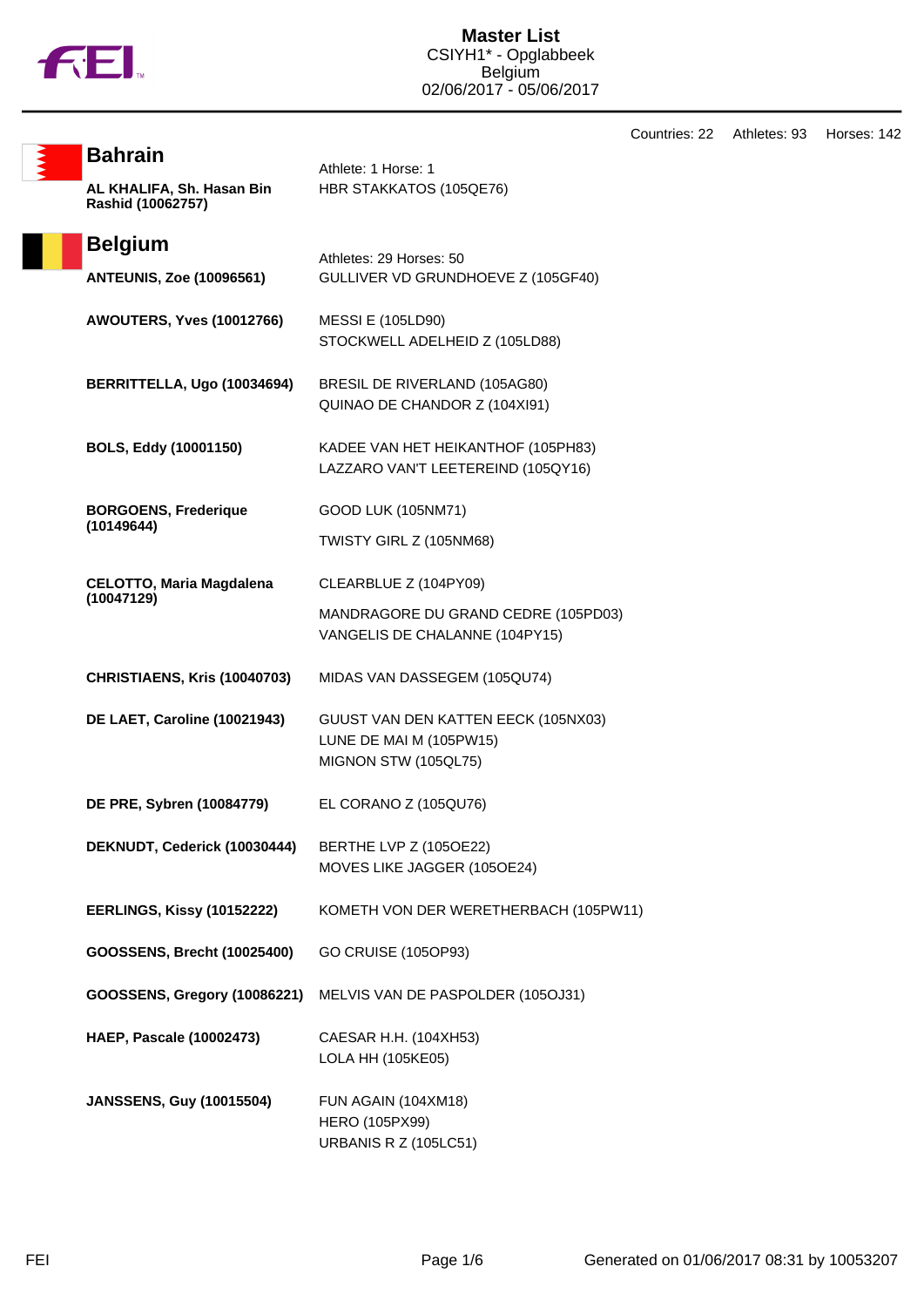

Countries: 22 Athletes: 93 Horses: 142

| <b>Bahrain</b>                                 | Athlete: 1 Horse: 1                                                                    |  |
|------------------------------------------------|----------------------------------------------------------------------------------------|--|
| AL KHALIFA, Sh. Hasan Bin<br>Rashid (10062757) | HBR STAKKATOS (105QE76)                                                                |  |
| <b>Belgium</b>                                 | Athletes: 29 Horses: 50                                                                |  |
| <b>ANTEUNIS, Zoe (10096561)</b>                | GULLIVER VD GRUNDHOEVE Z (105GF40)                                                     |  |
| AWOUTERS, Yves (10012766)                      | <b>MESSI E (105LD90)</b><br>STOCKWELL ADELHEID Z (105LD88)                             |  |
| BERRITTELLA, Ugo (10034694)                    | BRESIL DE RIVERLAND (105AG80)<br>QUINAO DE CHANDOR Z (104XI91)                         |  |
| BOLS, Eddy (10001150)                          | KADEE VAN HET HEIKANTHOF (105PH83)<br>LAZZARO VAN'T LEETEREIND (105QY16)               |  |
| <b>BORGOENS, Frederique</b>                    | GOOD LUK (105NM71)                                                                     |  |
| (10149644)                                     | TWISTY GIRL Z (105NM68)                                                                |  |
| <b>CELOTTO, Maria Magdalena</b>                | CLEARBLUE Z (104PY09)                                                                  |  |
| (10047129)                                     | MANDRAGORE DU GRAND CEDRE (105PD03)<br>VANGELIS DE CHALANNE (104PY15)                  |  |
| CHRISTIAENS, Kris (10040703)                   | MIDAS VAN DASSEGEM (105QU74)                                                           |  |
| <b>DE LAET, Caroline (10021943)</b>            | GUUST VAN DEN KATTEN EECK (105NX03)<br>LUNE DE MAI M (105PW15)<br>MIGNON STW (105QL75) |  |
| DE PRE, Sybren (10084779)                      | EL CORANO Z (105QU76)                                                                  |  |
| DEKNUDT, Cederick (10030444)                   | BERTHE LVP Z (105OE22)<br>MOVES LIKE JAGGER (105OE24)                                  |  |
| EERLINGS, Kissy (10152222)                     | KOMETH VON DER WERETHERBACH (105PW11)                                                  |  |
| GOOSSENS, Brecht (10025400)                    | GO CRUISE (105OP93)                                                                    |  |
| GOOSSENS, Gregory (10086221)                   | MELVIS VAN DE PASPOLDER (105OJ31)                                                      |  |
| <b>HAEP, Pascale (10002473)</b>                | CAESAR H.H. (104XH53)<br>LOLA HH (105KE05)                                             |  |
| <b>JANSSENS, Guy (10015504)</b>                | FUN AGAIN (104XM18)<br><b>HERO (105PX99)</b><br><b>URBANIS R Z (105LC51)</b>           |  |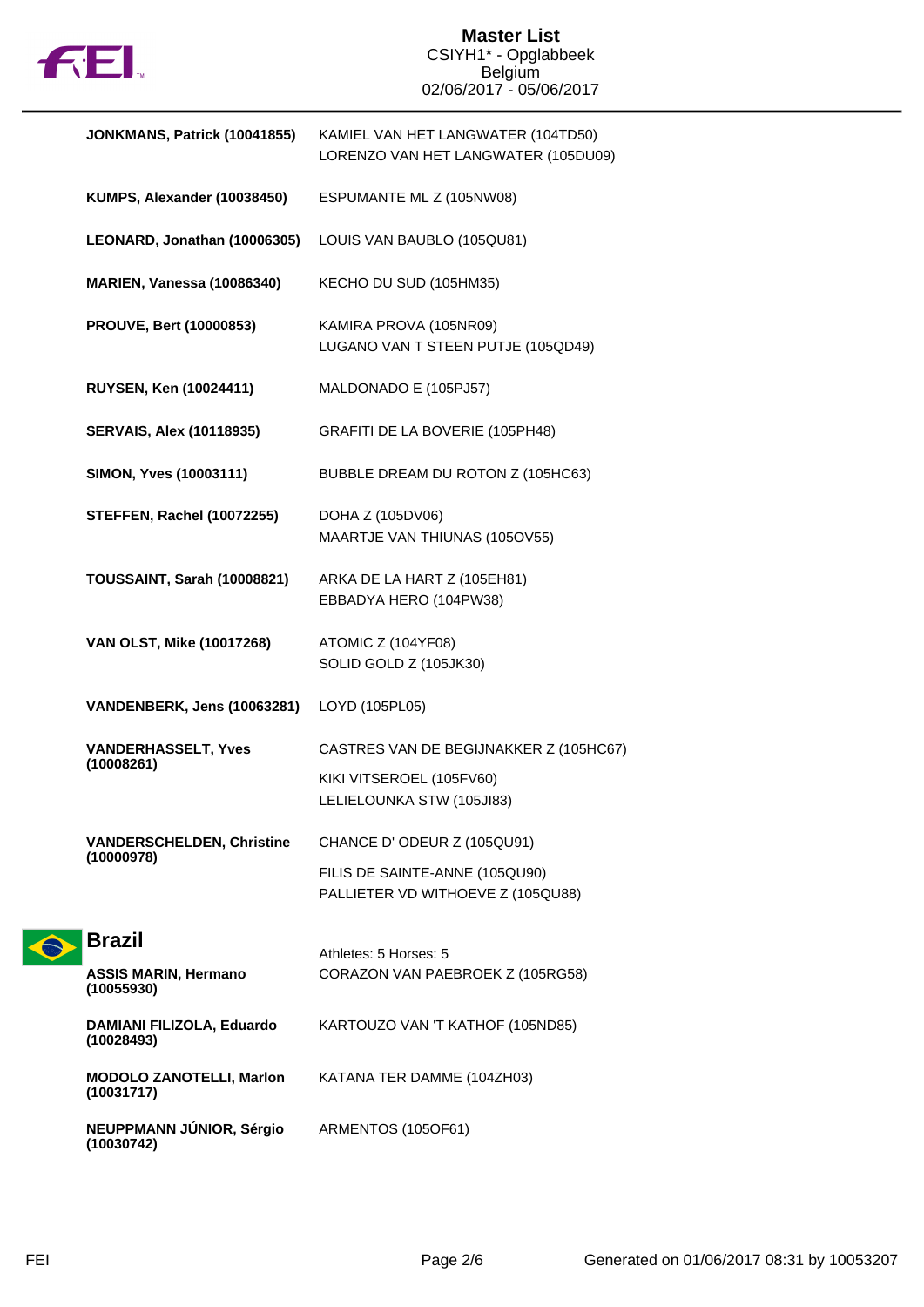

| JONKMANS, Patrick (10041855)                   | KAMIEL VAN HET LANGWATER (104TD50)<br>LORENZO VAN HET LANGWATER (105DU09) |  |
|------------------------------------------------|---------------------------------------------------------------------------|--|
| KUMPS, Alexander (10038450)                    | ESPUMANTE ML Z (105NW08)                                                  |  |
| LEONARD, Jonathan (10006305)                   | LOUIS VAN BAUBLO (105QU81)                                                |  |
| <b>MARIEN, Vanessa (10086340)</b>              | KECHO DU SUD (105HM35)                                                    |  |
| <b>PROUVE, Bert (10000853)</b>                 | KAMIRA PROVA (105NR09)<br>LUGANO VAN T STEEN PUTJE (105QD49)              |  |
| RUYSEN, Ken (10024411)                         | MALDONADO E (105PJ57)                                                     |  |
| <b>SERVAIS, Alex (10118935)</b>                | GRAFITI DE LA BOVERIE (105PH48)                                           |  |
| SIMON, Yves (10003111)                         | BUBBLE DREAM DU ROTON Z (105HC63)                                         |  |
| <b>STEFFEN, Rachel (10072255)</b>              | DOHA Z (105DV06)<br>MAARTJE VAN THIUNAS (105OV55)                         |  |
| TOUSSAINT, Sarah (10008821)                    | ARKA DE LA HART Z (105EH81)<br>EBBADYA HERO (104PW38)                     |  |
| VAN OLST, Mike (10017268)                      | ATOMIC Z (104YF08)<br>SOLID GOLD Z (105JK30)                              |  |
| VANDENBERK, Jens (10063281)                    | LOYD (105PL05)                                                            |  |
| <b>VANDERHASSELT, Yves</b><br>(10008261)       | CASTRES VAN DE BEGIJNAKKER Z (105HC67)                                    |  |
|                                                | KIKI VITSEROEL (105FV60)<br>LELIELOUNKA STW (105JI83)                     |  |
| <b>VANDERSCHELDEN, Christine</b><br>(10000978) | CHANCE D'ODEUR Z (105QU91)                                                |  |
|                                                | FILIS DE SAINTE-ANNE (105QU90)<br>PALLIETER VD WITHOEVE Z (105QU88)       |  |
| <b>Brazil</b>                                  | Athletes: 5 Horses: 5                                                     |  |
| <b>ASSIS MARIN, Hermano</b><br>(10055930)      | CORAZON VAN PAEBROEK Z (105RG58)                                          |  |
| DAMIANI FILIZOLA, Eduardo<br>(10028493)        | KARTOUZO VAN 'T KATHOF (105ND85)                                          |  |
| <b>MODOLO ZANOTELLI, Marlon</b><br>(10031717)  | KATANA TER DAMME (104ZH03)                                                |  |

ARMENTOS (105OF61)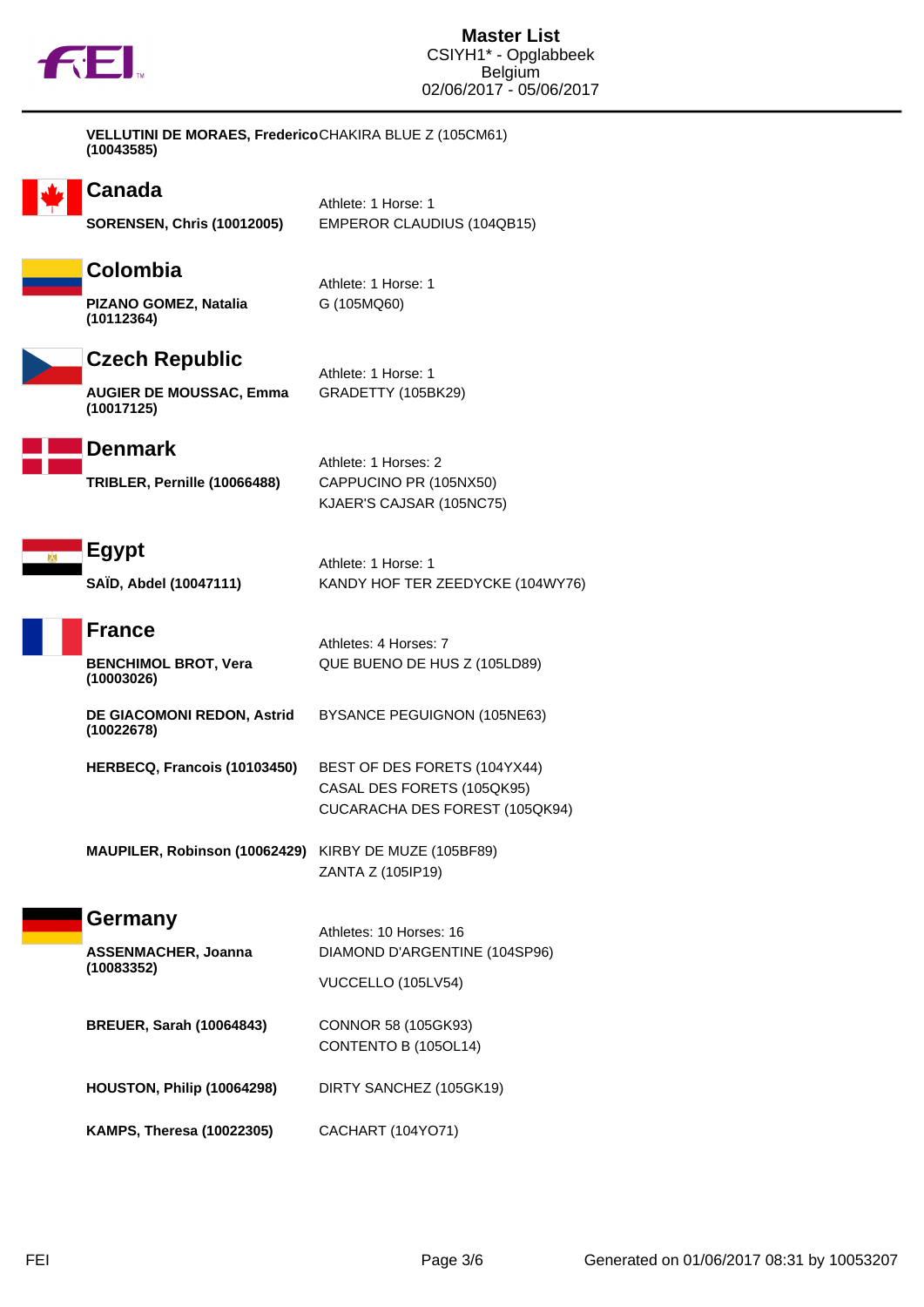

| VELLUTINI DE MORAES, FredericoCHAKIRA BLUE Z (105CM61) |  |
|--------------------------------------------------------|--|
| (10043585)                                             |  |



## **Canada**

Athlete: 1 Horse: 1 **SORENSEN, Chris (10012005)** EMPEROR CLAUDIUS (104QB15)



**PIZANO GOMEZ, Natalia (10112364)**

**Czech Republic**

**AUGIER DE MOUSSAC, Emma (10017125)**

Athlete: 1 Horse: 1 GRADETTY (105BK29)

Athletes: 4 Horses: 7

Athlete: 1 Horse: 1

G (105MQ60)



**TRIBLER, Pernille (10066488)** CAPPUCINO PR (105NX50)

Athlete: 1 Horses: 2 KJAER'S CAJSAR (105NC75)



Athlete: 1 Horse: 1 **SAÏD, Abdel (10047111)** KANDY HOF TER ZEEDYCKE (104WY76)

QUE BUENO DE HUS Z (105LD89)

|  | <b>∣France</b> |
|--|----------------|
|  |                |

**BENCHIMOL BROT, Vera (10003026)**

**DE GIACOMONI REDON, Astrid (10022678)** BYSANCE PEGUIGNON (105NE63)

- **HERBECQ, Francois (10103450)** BEST OF DES FORETS (104YX44) CASAL DES FORETS (105QK95) CUCARACHA DES FOREST (105QK94)
- **MAUPILER, Robinson (10062429)** KIRBY DE MUZE (105BF89) ZANTA Z (105IP19)
- **Germany**

**ASSENMACHER, Joanna (10083352)**

DIAMOND D'ARGENTINE (104SP96) VUCCELLO (105LV54)

Athletes: 10 Horses: 16

- **BREUER, Sarah (10064843)** CONNOR 58 (105GK93) CONTENTO B (105OL14)
- **HOUSTON, Philip (10064298)** DIRTY SANCHEZ (105GK19)
- **KAMPS, Theresa (10022305)** CACHART (104YO71)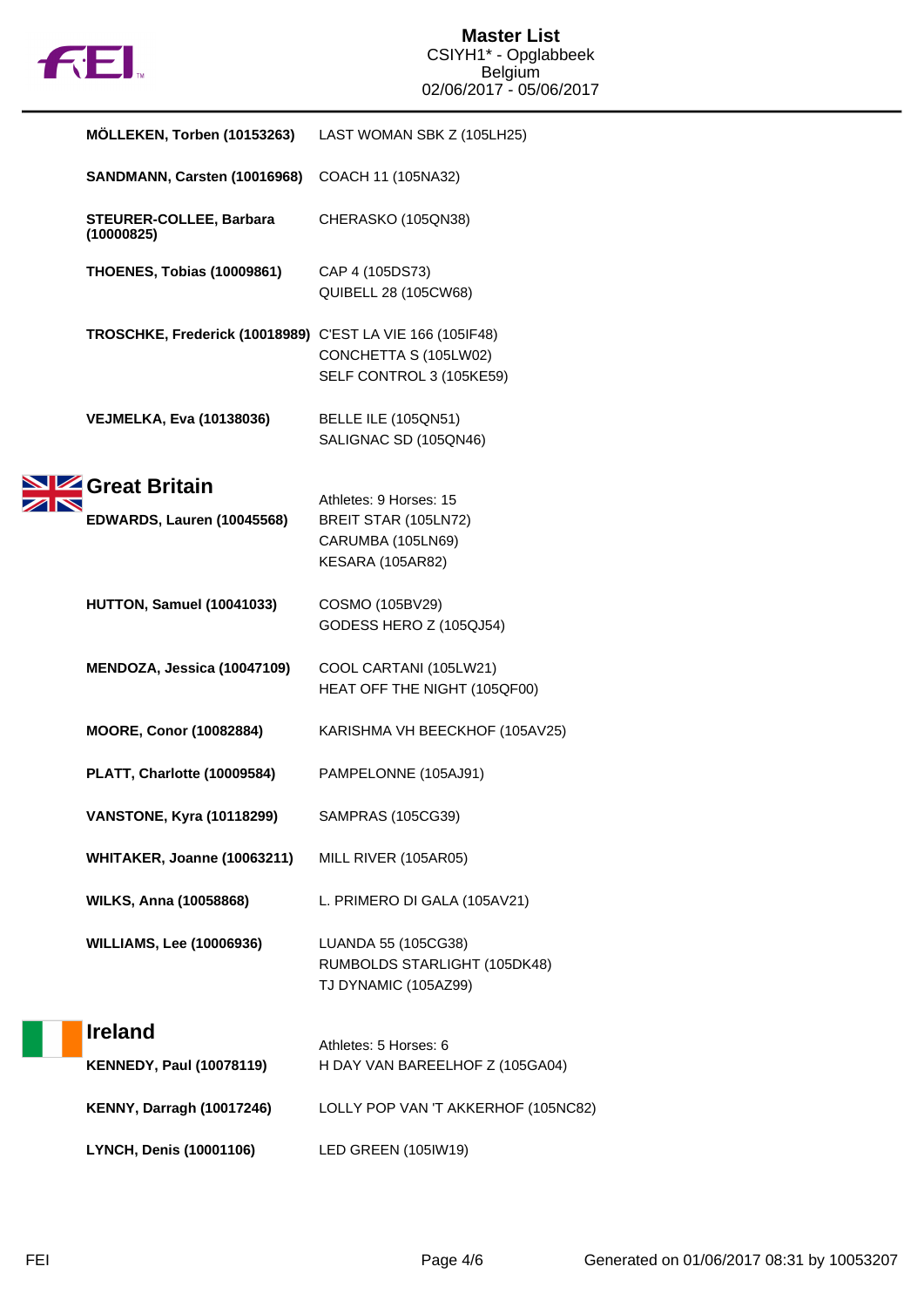

| MÖLLEKEN, Torben (10153263)                               | LAST WOMAN SBK Z (105LH25)                                                                     |
|-----------------------------------------------------------|------------------------------------------------------------------------------------------------|
| SANDMANN, Carsten (10016968)                              | COACH 11 (105NA32)                                                                             |
| STEURER-COLLEE, Barbara<br>(10000825)                     | CHERASKO (105QN38)                                                                             |
| <b>THOENES, Tobias (10009861)</b>                         | CAP 4 (105DS73)<br>QUIBELL 28 (105CW68)                                                        |
| TROSCHKE, Frederick (10018989) C'EST LA VIE 166 (105IF48) | CONCHETTA S (105LW02)<br>SELF CONTROL 3 (105KE59)                                              |
| <b>VEJMELKA, Eva (10138036)</b>                           | BELLE ILE (105QN51)<br>SALIGNAC SD (105QN46)                                                   |
| Great Britain<br><b>EDWARDS, Lauren (10045568)</b>        | Athletes: 9 Horses: 15<br>BREIT STAR (105LN72)<br>CARUMBA (105LN69)<br><b>KESARA (105AR82)</b> |
| HUTTON, Samuel (10041033)                                 | COSMO (105BV29)<br>GODESS HERO Z (105QJ54)                                                     |
| MENDOZA, Jessica (10047109)                               | COOL CARTANI (105LW21)<br>HEAT OFF THE NIGHT (105QF00)                                         |
| <b>MOORE, Conor (10082884)</b>                            | KARISHMA VH BEECKHOF (105AV25)                                                                 |
| PLATT, Charlotte (10009584)                               | PAMPELONNE (105AJ91)                                                                           |
| <b>VANSTONE, Kyra (10118299)</b>                          | SAMPRAS (105CG39)                                                                              |
| WHITAKER, Joanne (10063211)                               | MILL RIVER (105AR05)                                                                           |
| <b>WILKS, Anna (10058868)</b>                             | L. PRIMERO DI GALA (105AV21)                                                                   |
| <b>WILLIAMS, Lee (10006936)</b>                           | LUANDA 55 (105CG38)<br>RUMBOLDS STARLIGHT (105DK48)<br>TJ DYNAMIC (105AZ99)                    |
| <b>Ireland</b>                                            | Athletes: 5 Horses: 6                                                                          |
| <b>KENNEDY, Paul (10078119)</b>                           | H DAY VAN BAREELHOF Z (105GA04)                                                                |
| <b>KENNY, Darragh (10017246)</b>                          | LOLLY POP VAN 'T AKKERHOF (105NC82)                                                            |
| LYNCH, Denis (10001106)                                   | LED GREEN (105IW19)                                                                            |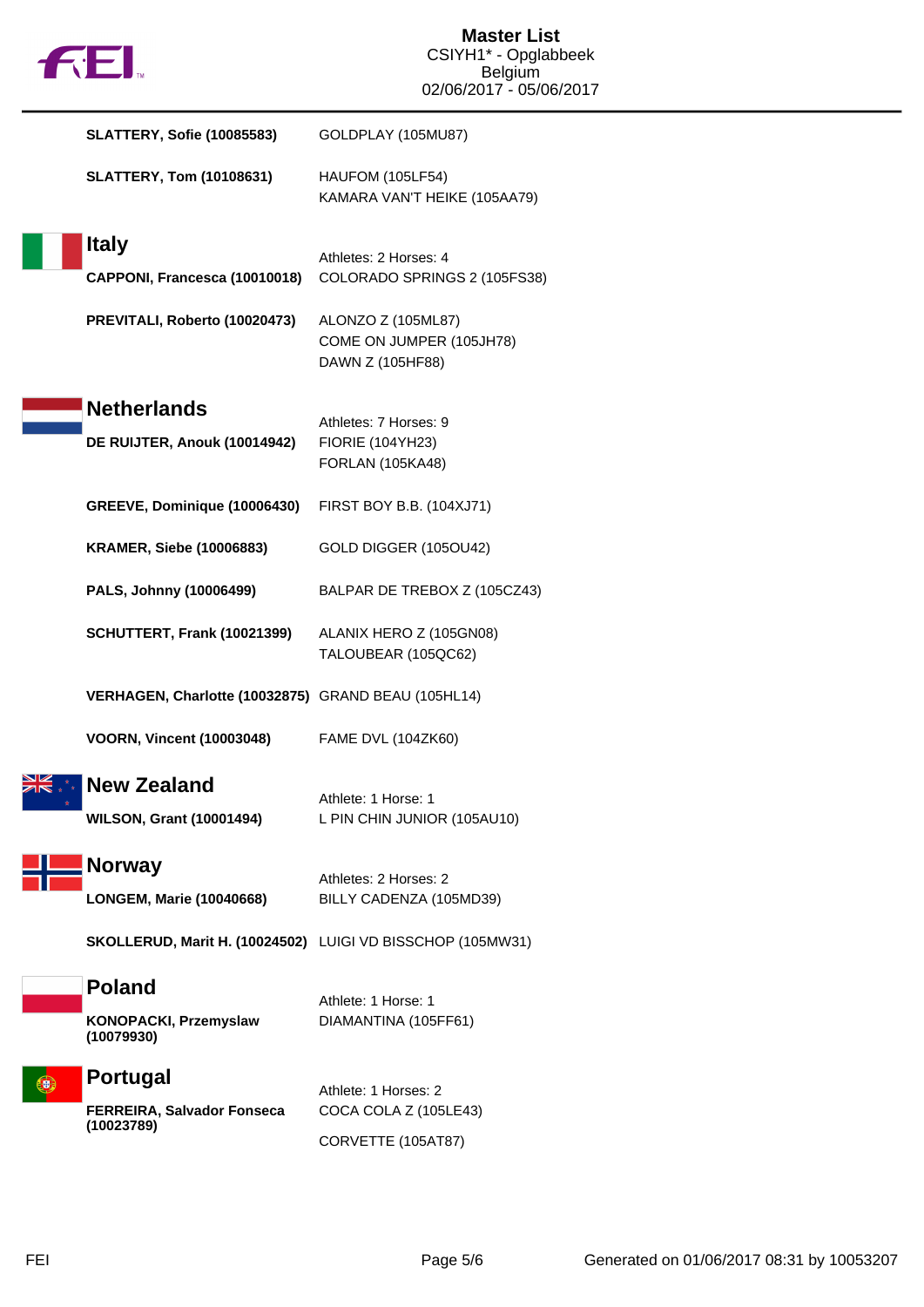| <b>12 EI</b>                                          | <b>Master List</b><br>CSIYH1* - Opglabbeek<br><b>Belgium</b>       |
|-------------------------------------------------------|--------------------------------------------------------------------|
|                                                       | 02/06/2017 - 05/06/2017                                            |
| <b>SLATTERY, Sofie (10085583)</b>                     | GOLDPLAY (105MU87)                                                 |
| <b>SLATTERY, Tom (10108631)</b>                       | <b>HAUFOM (105LF54)</b><br>KAMARA VAN'T HEIKE (105AA79)            |
| <b>Italy</b>                                          |                                                                    |
| CAPPONI, Francesca (10010018)                         | Athletes: 2 Horses: 4<br>COLORADO SPRINGS 2 (105FS38)              |
| PREVITALI, Roberto (10020473)                         | ALONZO Z (105ML87)<br>COME ON JUMPER (105JH78)<br>DAWN Z (105HF88) |
| <b>Netherlands</b>                                    |                                                                    |
| DE RUIJTER, Anouk (10014942)                          | Athletes: 7 Horses: 9<br><b>FIORIE (104YH23)</b>                   |
|                                                       | <b>FORLAN (105KA48)</b>                                            |
| GREEVE, Dominique (10006430)                          | FIRST BOY B.B. (104XJ71)                                           |
| <b>KRAMER, Siebe (10006883)</b>                       | GOLD DIGGER (105OU42)                                              |
| PALS, Johnny (10006499)                               | BALPAR DE TREBOX Z (105CZ43)                                       |
| SCHUTTERT, Frank (10021399)                           | ALANIX HERO Z (105GN08)<br>TALOUBEAR (105QC62)                     |
| VERHAGEN, Charlotte (10032875) GRAND BEAU (105HL14)   |                                                                    |
| <b>VOORN, Vincent (10003048)</b>                      | FAME DVL (104ZK60)                                                 |
| <b>New Zealand</b><br><b>WILSON, Grant (10001494)</b> | Athlete: 1 Horse: 1<br>L PIN CHIN JUNIOR (105AU10)                 |
| <b>Norway</b>                                         | Athletes: 2 Horses: 2                                              |
| <b>LONGEM, Marie (10040668)</b>                       | BILLY CADENZA (105MD39)                                            |
|                                                       | SKOLLERUD, Marit H. (10024502) LUIGI VD BISSCHOP (105MW31)         |
| <b>Poland</b>                                         | Athlete: 1 Horse: 1                                                |
| KONOPACKI, Przemyslaw<br>(10079930)                   | DIAMANTINA (105FF61)                                               |
| <b>Portugal</b>                                       |                                                                    |
| FERREIRA, Salvador Fonseca                            | Athlete: 1 Horses: 2<br>COCA COLA Z (105LE43)                      |
| (10023789)                                            | CORVETTE (105AT87)                                                 |